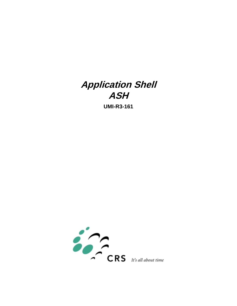# **Application Shell ASH**

**UMI-R3-161**

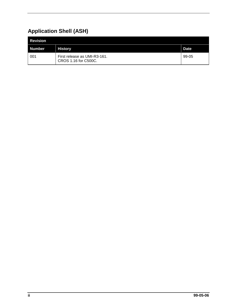# **Application Shell (ASH)**

| <b>Revision</b> |                                                      |             |
|-----------------|------------------------------------------------------|-------------|
| Number          | <b>History</b>                                       | <b>Date</b> |
| 001             | First release as UMI-R3-161.<br>CROS 1.16 for C500C. | 99-05       |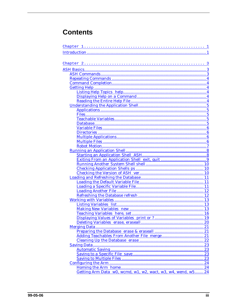# **Contents**

| Getting Arm Data $w0$ , wcmd, $w1$ , $w2$ , wact, $w3$ , $w4$ , wend, $w5$ 24 |  |
|-------------------------------------------------------------------------------|--|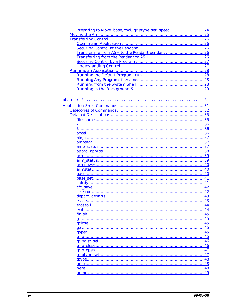| Preparing to Move base, tool, griptype_set, speed | 24               |
|---------------------------------------------------|------------------|
|                                                   | $\overline{}$ 25 |
|                                                   |                  |
|                                                   | 26               |
|                                                   |                  |
|                                                   | 26               |
|                                                   |                  |
|                                                   | 27               |
|                                                   | 27               |
|                                                   | .28              |
|                                                   |                  |
|                                                   |                  |
|                                                   |                  |
|                                                   |                  |
|                                                   |                  |
|                                                   |                  |
|                                                   |                  |
|                                                   |                  |
|                                                   |                  |
|                                                   |                  |
|                                                   |                  |
|                                                   |                  |
|                                                   |                  |
|                                                   |                  |
|                                                   |                  |
|                                                   |                  |
|                                                   | 37               |
|                                                   |                  |
|                                                   |                  |
|                                                   |                  |
|                                                   | 40               |
|                                                   | 40               |
|                                                   | 40               |
|                                                   | 41               |
|                                                   | 41               |
|                                                   | 42               |
|                                                   |                  |
|                                                   |                  |
|                                                   | 43               |
| eraseall                                          | 44               |
|                                                   | .44              |
|                                                   | 45               |
|                                                   | 45               |
|                                                   | 45               |
|                                                   | 45               |
|                                                   | 45               |
|                                                   |                  |
|                                                   | 45               |
|                                                   | 46               |
|                                                   | 46               |
|                                                   | 47               |
|                                                   | 47               |
|                                                   | 48               |
|                                                   | $\ldots 48$      |
|                                                   | .48              |
|                                                   | 49               |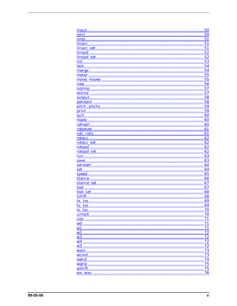|                  | 50          |
|------------------|-------------|
| ioint            | 50          |
|                  | $\ldots$ 51 |
|                  | $\ldots$ 51 |
|                  | 51          |
| linspd           | $\dots 52$  |
|                  | 52          |
|                  | 53          |
|                  | 54          |
|                  | 54          |
|                  | $\dots 55$  |
|                  | $\ldots 55$ |
|                  | 56          |
|                  | 57          |
|                  |             |
|                  | 57          |
|                  | 58          |
|                  | 58          |
|                  | 59          |
|                  | 59          |
|                  | 60          |
|                  | 60          |
|                  | 60          |
|                  | $\dots 61$  |
|                  | 61          |
|                  | .62         |
|                  | 62          |
|                  | 62          |
|                  | .62         |
|                  | .63         |
|                  | .63         |
|                  |             |
|                  | .64         |
|                  | .64         |
|                  | 65          |
|                  | 66          |
|                  | 67          |
|                  | .67         |
|                  | $\dots 68$  |
|                  | 68          |
| tx txs           | 69          |
| ty, tys          | 69          |
| tz, tzs          | 70          |
| unlock           | 70          |
| use              | 71          |
| w0               | 71          |
| $\underline{w1}$ | 71          |
| $w_2$            | 72          |
| w3               | 72          |
| w4               | 72          |
|                  |             |
| w5               | 72          |
| wact             | 73          |
|                  | 73          |
| wend.            | 74          |
|                  | 75          |
| wshift           | 75          |
|                  | 76          |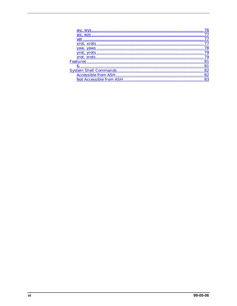| 77 |
|----|
|    |
|    |
|    |
|    |
| 79 |
|    |
|    |
| 82 |
|    |
|    |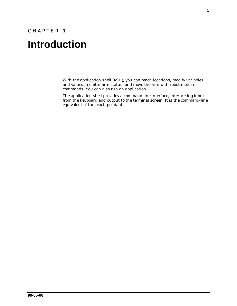### <span id="page-6-0"></span>CHAPTER 1

# **Introduction**

With the application shell (ASH), you can teach locations, modify variables and values, monitor arm status, and move the arm with robot motion commands. You can also run an application.

The application shell provides a command line interface, interpreting input from the keyboard and output to the terminal screen. It is the command-line equivalent of the teach pendant.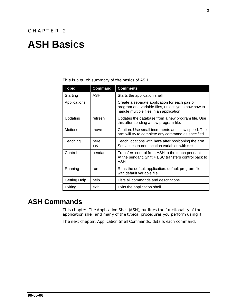# <span id="page-8-0"></span>**ASH Basics**

This is a quick summary of the basics of ASH.

| <b>Topic</b>   | <b>Command</b> | <b>Comments</b>                                                                                                                                  |
|----------------|----------------|--------------------------------------------------------------------------------------------------------------------------------------------------|
| Starting       | ASH            | Starts the application shell.                                                                                                                    |
| Applications   |                | Create a separate application for each pair of<br>program and variable files, unless you know how to<br>handle multiple files in an application. |
| Updating       | refresh        | Updates the database from a new program file. Use<br>this after sending a new program file.                                                      |
| <b>Motions</b> | move           | Caution. Use small increments and slow speed. The<br>arm will try to complete any command as specified.                                          |
| Teaching       | here<br>set    | Teach locations with <b>here</b> after positioning the arm.<br>Set values to non-location variables with set.                                    |
| Control        | pendant        | Transfers control from ASH to the teach pendant.<br>At the pendant, Shift + ESC transfers control back to<br>ASH.                                |
| Running        | run            | Runs the default application: default program file<br>with default variable file.                                                                |
| Getting Help   | help           | Lists all commands and descriptions.                                                                                                             |
| Exiting        | exit           | Exits the application shell.                                                                                                                     |

# **ASH Commands**

This chapter, *The Application Shell (ASH)*, outlines the functionality of the application shell and many of the typical procedures you perform using it.

The next chapter, *Application Shell Commands*, details each command.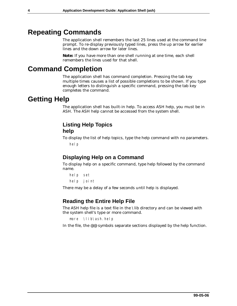# <span id="page-9-0"></span>**Repeating Commands**

The application shell remembers the last 25 lines used at the command line prompt. To re-display previously typed lines, press the up arrow for earlier lines and the down arrow for later lines.

**Note:** If you have more than one shell running at one time, each shell remembers the lines used for that shell.

# **Command Completion**

The application shell has command completion. Pressing the tab key multiple times causes a list of possible completions to be shown. If you type enough letters to distinguish a specific command, pressing the tab key completes the command.

# **Getting Help**

The application shell has built-in help. To access ASH help, you must be in ASH. The ASH help cannot be accessed from the system shell.

## **Listing Help Topics help**

To display the list of help topics, type the help command with no parameters. hel p

# **Displaying Help on a Command**

To display help on a specific command, type help followed by the command name.

help set help joint

There may be a delay of a few seconds until help is displayed.

# **Reading the Entire Help File**

The ASH help file is a text file in the \lib directory and can be viewed with the system shell's type or more command.

```
more \lib\ash.help
```
In the file, the @@ symbols separate sections displayed by the help function.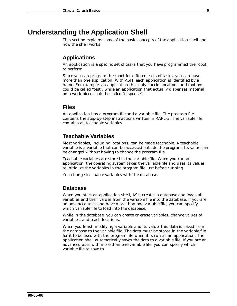# <span id="page-10-0"></span>**Understanding the Application Shell**

This section explains some of the basic concepts of the application shell and how the shell works.

### **Applications**

An application is a specific set of tasks that you have programmed the robot to perform.

Since you can program the robot for different sets of tasks, you can have more than one application. With ASH, each application is identified by a name. For example, an application that only checks locations and motions could be called "test", while an application that actually dispenses material on a work piece could be called "dispense".

### **Files**

An application has a program file and a variable file. The program file contains the step-by-step instructions written in RAPL-3. The variable file contains all teachable variables.

### **Teachable Variables**

Most variables, including locations, can be made teachable. A teachable variable is a variable that can be accessed outside the program. Its value can be changed without having to change the program file.

Teachable variables are stored in the variable file. When you run an application, the operating system takes the variable file and uses its values to initialize the variables in the program file just before running.

You change teachable variables with the database.

#### **Database**

When you start an application shell, ASH creates a database and loads all variables and their values from the variable file into the database. If you are an advanced user and have more than one variable file, you can specify which variable file to load into the database.

While in the database, you can create or erase variables, change values of variables, and teach locations.

When you finish modifying a variable and its value, this data is saved from the database to the variable file. The data must be stored in the variable file for it to be used with the program file when it is run as an application. The application shell automatically saves the data to a variable file. If you are an advanced user with more than one variable file, you can specify which variable file to save to.

**99-05-06**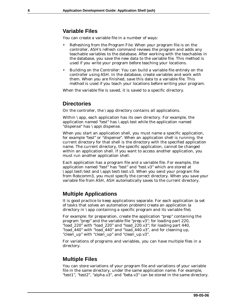## <span id="page-11-0"></span>**Variable Files**

You can create a variable file in a number of ways:

- Refreshing from the Program File: When your program file is on the controller, ASH's refresh command reviews the program and adds any teachable variables to the database. After working with the teachables in the database, you save the new data to the variable file. This method is used if you write your program before teaching your locations.
- Building on the Controller: You can build a variable file entirely on the controller using ASH. In the database, create variables and work with them. When you are finished, save this data to a variable file. This method is used if you teach your locations before writing your program.

When the variable file is saved, it is saved to a specific directory.

### **Directories**

On the controller, the \app directory contains all applications.

Within \app, each application has its own directory. For example, the application named "test" has \app\test while the application named "dispense" has \app\dispense.

When you start an application shell, you must name a specific application, for example "test" or "dispense". When an application shell is running, the current directory for that shell is the directory with the specified application name. The current directory, the specific application, cannot be changed within an application shell. If you want to access another application, you must run another application shell.

Each application has a program file and a variable file. For example, the application named "test" has "test" and "test.v3" which are stored at \app\test\test and \app\test\test.v3. When you send your program file from Robcomm3, you must specify the correct directory. When you save your variable file from ASH, ASH automatically saves to the current directory.

### **Multiple Applications**

It is good practice to keep applications separate. For each application (a set of tasks that solves an automation problem) create an application (a directory in \app containing a specific program and its variable file).

For example: for preparation, create the application "prep" containing the program "prep" and the variable file "prep.v3"; for loading part 220, "load\_220" with "load\_220" and "load\_220.v3"; for loading part 440, "load\_440" with "load\_440" and "load\_440.v3", and for cleaning up, "clean\_up" with "clean\_up" and "clean\_up.v3".

For variations of programs and variables, you can have multiple files in a directory.

### **Multiple Files**

You can store variations of your program file and variations of your variable file in the same directory, under the same application name. For example, "test1", "test2", "alpha.v3", and "beta.v3" can be stored in the same directory.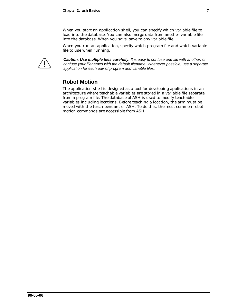When you start an application shell, you can specify which variable file to load into the database. You can also merge data from another variable file into the database. When you save, save to any variable file.

When you run an application, specify which program file and which variable file to use when running.

<span id="page-12-0"></span>

*Caution. Use multiple files carefully. It is easy to confuse one file with another, or confuse your filenames with the default filename. Whenever possible, use a separate application for each pair of program and variable files.*

# **Robot Motion**

The application shell is designed as a tool for developing applications in an architecture where teachable variables are stored in a variable file separate from a program file. The database of ASH is used to modify teachable variables including locations. Before teaching a location, the arm must be moved with the teach pendant or ASH. To do this, the most common robot motion commands are accessible from ASH.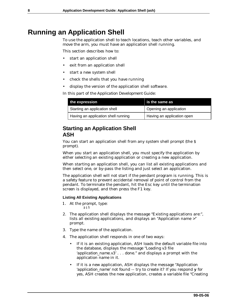# <span id="page-13-0"></span>**Running an Application Shell**

To use the application shell to teach locations, teach other variables, and move the arm, you must have an application shell running.

This section describes how to:

- start an application shell
- exit from an application shell
- start a new system shell
- check the shells that you have running
- display the version of the application shell software.

In this part of the *Application Development Guide*:

| the expression                      | is the same as             |
|-------------------------------------|----------------------------|
| Starting an application shell       | Opening an application     |
| Having an application shell running | Having an application open |

### **Starting an Application Shell ASH**

You can start an application shell from any system shell prompt (the \$ prompt).

When you start an application shell, you must specify the application by either selecting an existing application or creating a new application.

When starting an application shell, you can list all existing applications and then select one, or by-pass the listing and just select an application.

The application shell will not start if the pendant program is running. This is a safety feature to prevent accidental removal of point of control from the pendant. To terminate the pendant, hit the Esc key until the termination screen is displayed, and then press the F1 key.

#### **Listing All Existing Applications**

- 1. At the prompt, type: ash
- 2. The application shell displays the message "Existing applications are:", lists all existing applications, and displays an "Application name >" prompt.
- 3. Type the name of the application.
- 4. The application shell responds in one of two ways:
	- If it is an existing application, ASH loads the default variable file into the database, displays the message "Loading v3 file '*application\_name*.v3' . . . done." and displays a prompt with the application name in it.
	- If it is a new application, ASH displays the message "Application" '*application\_name*' not found -- try to create it? If you respond **y** for yes, ASH creates the new application, creates a variable file "Creating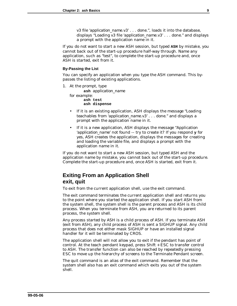v3 file '*application\_name*.v3' . . . done.", loads it into the database, displays "Loading v3 file '*application\_name*.v3' . . . done." and displays a prompt with the application name in it.

<span id="page-14-0"></span>If you do not want to start a new ASH session, but typed **ASH** by mistake, you cannot back out of the start-up procedure half-way through. Name any application, such as "test", to complete the start-up procedure and, once ASH is started, exit from it.

#### **By-Passing the List**

You can specify an application when you type the ASH command. This bypasses the listing of existing applications.

1. At the prompt, type

**ash** *application\_name* for example: **ash test ash dispense**

- If it is an existing application, ASH displays the message "Loading" teachables from '*application\_name*.v3' . . . done." and displays a prompt with the application name in it.
- If it is a new application, ASH displays the message "Application '*application\_name*' not found -- try to create it? If you respond **y** for yes, ASH creates the application, displays the messages for creating and loading the variable file, and displays a prompt with the application name in it.

If you do not want to start a new ASH session, but typed ASH and the application name by mistake, you cannot back out of the start-up procedure. Complete the start-up procedure and, once ASH is started, exit from it.

# **Exiting From an Application Shell exit, quit**

To exit from the current application shell, use the exit command.

The exit command terminates the current application shell and returns you to the point where you started the application shell. If you start ASH from the system shell, the system shell is the parent process and ASH is its child process. When you terminate from ASH, you are returned to its parent process, the system shell.

Any process started by ASH is a child process of ASH. If you terminate ASH (exit from ASH), any child process of ASH is sent a SIGHUP signal. Any child process that does not either mask SIGHUP or have an installed signal handler for it will be terminated by CROS.

The application shell will not allow you to exit if the pendant has point of control. At the teach pendant keypad, press Shift + ESC to transfer control to ASH. The transfer function can also be reached by repeatedly pressing ESC to move up the hierarchy of screens to the Terminate Pendant screen.

The quit command is an alias of the exit command. Remember that the system shell also has an exit command which exits you out of the system shell.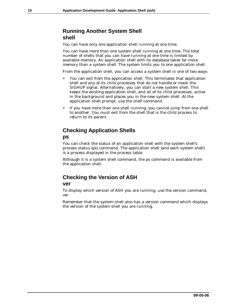# <span id="page-15-0"></span>**Running Another System Shell shell**

You can have only one application shell running at one time.

You can have more than one system shell running at one time. The total number of shells that you can have running at one time is limited by available memory. An application shell with its database takes far more memory than a system shell. The system limits you to one application shell.

From the application shell, you can access a system shell in one of two ways:

- You can exit from the application shell. This terminates that application shell and any of its child processes that do not handle or mask the SIGHUP signal. Alternatively, you can start a new system shell. This keeps the existing application shell, and all of its child processes, active in the background and places you in the new system shell. At the application shell prompt, use the shell command.
- If you have more than one shell running, you cannot jump from one shell to another. You must exit from the shell that is the child process to return to its parent.

# **Checking Application Shells**

#### **ps**

You can check the status of an application shell with the system shell's process status (ps) command. The application shell (and each system shell) is a process displayed in the process table.

Although it is a system shell command, the ps command is available from the application shell.

# **Checking the Version of ASH**

#### **ver**

To display which version of ASH you are running, use the version command, ver.

Remember that the system shell also has a version command which displays the version of the system shell you are running.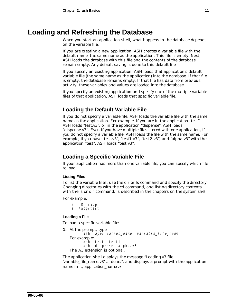# <span id="page-16-0"></span>**Loading and Refreshing the Database**

When you start an application shell, what happens in the database depends on the variable file.

If you are creating a new application, ASH creates a variable file with the default name, the same name as the application. This file is empty. Next, ASH loads the database with this file and the contents of the database remain empty. Any default saving is done to this default file.

If you specify an existing application, ASH loads that application's default variable file (the same name as the application) into the database. If that file is empty, the database remains empty. If that file has data from previous activity, those variables and values are loaded into the database.

If you specify an existing application and specify one of the multiple variable files of that application, ASH loads that specific variable file.

### **Loading the Default Variable File**

If you do not specify a variable file, ASH loads the variable file with the same name as the application. For example, if you are in the application "test", ASH loads "test.v3", or in the application "dispense", ASH loads "dispense.v3". Even if you have multiple files stored with one application, if you do not specify a variable file, ASH loads the file with the same name. For example, if you have "test.v3", "test1.v3", "test2.v3", and "alpha.v3" with the application "test", ASH loads "test.v3".

### **Loading a Specific Variable File**

If your application has more than one variable file, you can specify which file to load.

#### **Listing Files**

To list the variable files, use the dir or ls command and specify the directory. Changing directories with the cd command, and listing directory contents with the ls or dir command, is described in the chapters on the system shell.

For example:

```
ls -R /app
ls /app/test
```
#### **Loading a File**

To load a specific variable file:

**1.** At the prompt, type `ash `*ap̃plication\_name variable\_file\_name* For example: ash test test1 ash di spense al pha. v3 The .v3 extension is optional.

The application shell displays the message "Loading v3 file '*variable\_file\_name*.v3' ... done.", and displays a prompt with the application name in it, *application\_name* >.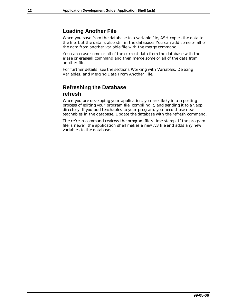### <span id="page-17-0"></span>**Loading Another File**

When you save from the database to a variable file, ASH copies the data to the file, but the data is also still in the database. You can add some or all of the data from another variable file with the merge command.

You can erase some or all of the current data from the database with the erase or eraseall command and then merge some or all of the data from another file.

For further details, see the sections Working with Variables: Deleting Variables, and Merging Data From Another File.

### **Refreshing the Database refresh**

When you are developing your application, you are likely in a repeating process of editing your program file, compiling it, and sending it to a \app directory. If you add teachables to your program, you need those new teachables in the database. Update the database with the refresh command.

The refresh command reviews the program file's time stamp. If the program file is newer, the application shell makes a new .v3 file and adds any new variables to the database.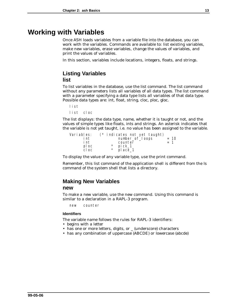# <span id="page-18-0"></span>**Working with Variables**

Once ASH loads variables from a variable file into the database, you can work with the variables. Commands are available to: list existing variables, make new variables, erase variables, change the values of variables, and print the values of variables.

In this section, variables include locations, integers, floats, and strings.

### **Listing Variables list**

To list variables in the database, use the list command. The list command without any parameters lists all variables of all data types. The list command with a parameter specifying a data type lists all variables of that data type. Possible data types are: int, float, string, cloc, ploc, gloc.

list list cloc

The list displays: the data type, name, whether it is taught or not, and the values of simple types like floats, ints and strings. An asterisk indicates that the variable is not yet taught, i.e. no value has been assigned to the variable.

| Vari abl es: | $(*)$ indicates not yet taught)                                                                             |        |  |
|--------------|-------------------------------------------------------------------------------------------------------------|--------|--|
| i nt         | number_of_l oops                                                                                            | $= 10$ |  |
| i nt         | counter                                                                                                     | $= 1$  |  |
| pl oc        | $\begin{matrix} \star & \mathsf{pi} & \mathsf{ck}\_1 \\ \star & \mathsf{pi} & \mathsf{acc}\_1 \end{matrix}$ |        |  |
| cl oc        |                                                                                                             |        |  |

To display the value of any variable type, use the print command.

Remember, this list command of the application shell is different from the ls command of the system shell that lists a directory.

# **Making New Variables**

#### **new**

To make a new variable, use the new command. Using this command is similar to a declaration in a RAPL-3 program.

new counter

#### **Identifiers**

The variable name follows the rules for RAPL-3 identifiers:

- begins with a letter
- has one or more letters, digits, or \_ (underscore) characters
- has any combination of uppercase (ABCDE) or lowercase (abcde)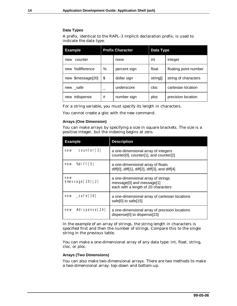#### **Data Types**

A prefix, identical to the RAPL-3 implicit declaration prefix, is used to indicate the data type.

| <b>Example</b>    | <b>Prefix Character</b> |              | Data Type |                       |
|-------------------|-------------------------|--------------|-----------|-----------------------|
| counter<br>new    |                         | none         | int       | integer               |
| new %difference   | %                       | percent sign | float     | floating point number |
| new \$message[20] | \$                      | dollar sign  | string[]  | string of characters  |
| new _safe         |                         | underscore   | cloc      | cartesian location    |
| #dispense<br>new  | #                       | number sign  | ploc      | precision location    |

For a string variable, you must specify its length in characters.

You cannot create a gloc with the new command.

#### **Arrays (One Dimension)**

You can make arrays by specifying a size in square brackets. The size is a positive integer, but the indexing begins at zero.

| <b>Example</b>          | <b>Description</b>                                                                                     |
|-------------------------|--------------------------------------------------------------------------------------------------------|
| counter[3]              | a one-dimensional array of integers                                                                    |
| new                     | counter[0], counter[1], and counter[2]                                                                 |
| %di ff $[5]$            | a one-dimensional array of floats                                                                      |
| new                     | diff[0], diff[1], diff[2], diff[3], and diff[4]                                                        |
| new<br>\$message[20][2] | a one-dimensional array of strings<br>message[0] and message[1]<br>each with a length of 20 characters |
| _safe[16]               | a one-dimensional array of cartesian locations                                                         |
| new                     | safe[0] to safe[15]                                                                                    |
| #di spense[24]          | a one-dimensional array of precision locations                                                         |
| new                     | dispense[0] to dispense[23]                                                                            |

In the example of an array of strings, the string length in characters is specified first and then the number of strings. Compare this to the single string in the previous table.

You can make a one-dimensional array of any data type: int, float, string, cloc, or ploc.

#### **Arrays (Two Dimensions)**

You can also make two-dimensional arrays. There are two methods to make a two-dimensional array: top-down and bottom-up.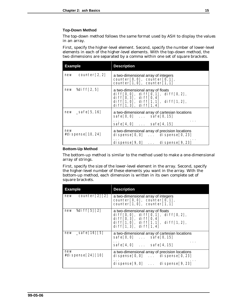#### **Top-Down Method**

The top-down method follows the same format used by ASH to display the values in an array.

First, specify the higher-level element. Second, specify the number of lower-level elements in each of the higher-level elements. With the top-down method, the two dimensions are separated by a comma within one set of square brackets.

| <b>Example</b>               | <b>Description</b>                                                                                                                                                                                                                              |
|------------------------------|-------------------------------------------------------------------------------------------------------------------------------------------------------------------------------------------------------------------------------------------------|
| $new$ counter [2, 2]         | a two-dimensional array of integers<br>$counter[0, 0]$ , counter $[0, 1]$ ,<br>counter[1,0], counter[1,1]                                                                                                                                       |
| new %diff $[2, 5]$           | a two-dimensional array of floats<br>di $ff[0, 0]$ , di $ff[0, 1]$ , di $ff[0, 2]$ ,<br>di $\mathsf{f}\mathsf{f}[0,3]$ , di $\mathsf{f}\mathsf{f}[0,4]$<br>di ff[1,0], di ff[1,1], di ff[1,2],<br>di $\mathsf{ff}[1,3]$ , di $\mathsf{ff}[1,4]$ |
| $new$ $\subseteq$ safe[5,16] | a two-dimensional array of cartesian locations<br>$safe[0, 0]$ $safe[0, 15]$<br>$safe[4, 0]$ $safe[4, 15]$                                                                                                                                      |
| new<br>#di spense $[10, 24]$ | a two-dimensional array of precision locations<br>di spense $[0, 0]$ $\ldots$ di spense $[0, 23]$<br>di spense $[9, 0]$ di spense $[9, 23]$                                                                                                     |

#### **Bottom-Up Method**

The bottom-up method is similar to the method used to make a one-dimensional array of strings.

First, specify the size of the lower-level element in the array. Second, specify the higher-level number of these elements you want in the array. With the bottom-up method, each dimension is written in its own complete set of square brackets.

| <b>Example</b>             | <b>Description</b>                                                                                                                                                                                                                                 |
|----------------------------|----------------------------------------------------------------------------------------------------------------------------------------------------------------------------------------------------------------------------------------------------|
| $new$ counter[2][2]        | a two-dimensional array of integers<br>$counter[0, 0]$ , counter $[0, 1]$ ,<br>$counter[1,0]$ , counter[1,1]                                                                                                                                       |
| %di ff[5][2]<br>new        | a two-dimensional array of floats<br>di ff $[0, 0]$ , di ff $[0, 1]$ , di ff $[0, 2]$ ,<br>di $\mathsf{ff}[0,3]$ , di $\mathsf{ff}[0,4]$<br>di ff <sup>[1,0],</sup> di ff <sup>[1,1],</sup> di ff <sup>[1,2],</sup><br>di $ff[1,3]$ , di $ff[1,4]$ |
| $new = safe[16][5]$        | a two-dimensional array of cartesian locations<br>$safe[0, 0]$ $safe[0, 15]$<br>$\cdots$<br>$safe[4, 0]$ $safe[4, 15]$                                                                                                                             |
| new<br>#di spense[24] [10] | a two-dimensional array of precision locations<br>di spense $[0, 0]$ di spense $[0, 23]$<br>di spense $[9, 0]$ di spense $[9, 23]$                                                                                                                 |
|                            |                                                                                                                                                                                                                                                    |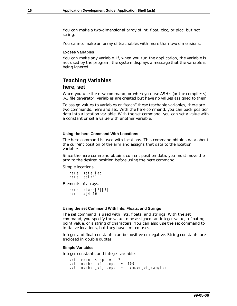<span id="page-21-0"></span>You can make a two-dimensional array of int, float, cloc, or ploc, but not string.

You cannot make an array of teachables with more than two dimensions.

#### **Excess Variables**

You can make any variable. If, when you run the application, the variable is not used by the program, the system displays a message that the variable is being ignored.

## **Teaching Variables here, set**

When you use the new command, or when you use ASH's (or the compiler's) .v3 file generator, variables are created but have no values assigned to them.

To assign values to variables or "teach" these teachable variables, there are two commands: here and set. With the here command, you can pack position data into a location variable. With the set command, you can set a value with a constant or set a value with another variable.

#### **Using the here Command With Locations**

The here command is used with locations. This command obtains data about the current position of the arm and assigns that data to the location variable.

Since the here command obtains current position data, you must move the arm to the desired position before using the here command.

Simple locations.

| here | safe loc |
|------|----------|
| here | poi nt1  |

Elements of arrays.

here place[2][3] here a[4,10]

#### **Using the set Command With Ints, Floats, and Strings**

The set command is used with ints, floats, and strings. With the set command, you specify the value to be assigned: an integer value, a floating point value, or a string of characters. You can also use the set command to initialize locations, but they have limited uses.

Integer and float constants can be positive or negative. String constants are enclosed in double quotes.

#### **Simple Variables**

Integer constants and integer variables.

```
set count step = -2set number_of_loops = 100
set number_of_loops = number_of_samples
```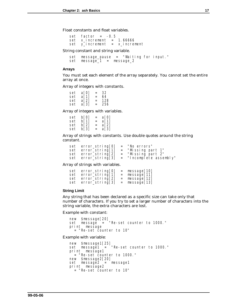Float constants and float variables.

set  $factor = -0.5$ set  $x_i$  ncrement = 1.66666 set y\_increment = x\_increment

String constant and string variable.

set message\_pause = "Waiting for input."  $set$  message $\bar{1}$  = message $\bar{2}$ 

#### **Arrays**

You must set each element of the array separately. You cannot set the entire array at once.

Array of integers with constants.

| set | a[O] | =   | 32  |
|-----|------|-----|-----|
| set | a[1] | $=$ | 64  |
| set | a[2] | $=$ | 128 |
| set | аГ31 | =   | 256 |

Array of integers with variables.

| set | b[0] | $=$ | a[O] |
|-----|------|-----|------|
| set | b[1] | $=$ | a[1] |
| set | b[2] | $=$ | a[2] |
| set | b[3] | $=$ | a[3] |

Array of strings with constants. Use double quotes around the string constant.

| set error_string[0] | = "No errors"                               |
|---------------------|---------------------------------------------|
| set error_string[1] | = "Missing part 1"                          |
| set error_string[2] | = "Missing part 2"                          |
|                     | set error_string[3] = "Incomplete assembly" |

Array of strings with variables.

```
set error_string[0] = message[10]
 set error_string[1] = message[11]
 set error_string[2] = message[12]
   set error\overline{\text{1}}string\overline{\text{1}}3] = message\overline{\text{1}}3]
```
#### **String Limit**

Any string that has been declared as a specific size can take only that number of characters. If you try to set a larger number of characters into the string variable, the extra characters are lost.

Example with constant:

```
new $message[20]
 set message = "Re-set counter to 1000."
   print message
     = "Re-set counter to 10"
```
Example with variable:

```
 new $message1[25]
  set message1 = "Re-set counter to 1000."
   print message1
= "Re-set counter to 1000."
  new $message2[20]
 set message2 = message1
   print message2
     = "Re-set counter to 10"
```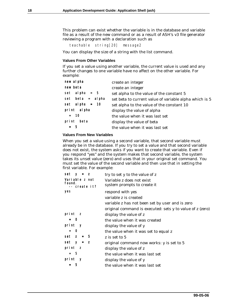This problem can exist whether the variable is in the database and variable file as a result of the new command or as a result of ASH's v3 file generator reviewing a program with a declaration such as

teachable string[20] message2

You can display the size of a string with the list command.

#### **Values From Other Variables**

If you set a value using another variable, the current value is used and any further changes to one variable have no affect on the other variable. For example:

| new al pha         | create an integer                                      |
|--------------------|--------------------------------------------------------|
| new beta           | create an integer                                      |
| set alpha = $5$    | set alpha to the value of the constant 5               |
| $set$ beta = alpha | set beta to current value of variable alpha which is 5 |
| set alpha = $10$   | set alpha to the value of the constant 10              |
| print alpha        | display the value of alpha                             |
| $= 10$             | the value when it was last set                         |
| pri nt<br>beta     | display the value of beta                              |
| $= 5$              | the value when it was last set                         |
|                    |                                                        |

#### **Values From New Variables**

When you set a value using a second variable, that second variable must already be in the database. If you try to set a value and that second variable does not exist, the system asks if you want to create that variable. Even if you respond "yes" and the system makes that second variable, the system takes its unset value (zero) and uses that in your original set command. You must set the value of the second variable and then use that in setting the first variable. For example:

| set $y = z$             | try to set y to the value of z                            |
|-------------------------|-----------------------------------------------------------|
| Variable z not          | Variable z does not exist                                 |
| found.<br>-- create it? | system prompts to create it                               |
| yes                     | respond with yes                                          |
|                         | variable z is created                                     |
|                         | variable z has not been set by user and is zero           |
|                         | original command is executed: sets y to value of z (zero) |
| print z                 | display the value of z                                    |
| $= 0$                   | the value when it was created                             |
| print y                 | display the value of y                                    |
| $= 0$                   | the value when it was set to equal z                      |
| $set$ z =<br>- 5        | z is set to 5                                             |
| set $y = z$             | original command now works: y is set to 5                 |
| print z                 | display the value of z                                    |
| $= 5$                   | the value when it was last set                            |
| print y                 | display the value of y                                    |
| 5                       | the value when it was last set                            |
|                         |                                                           |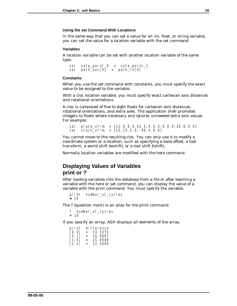#### <span id="page-24-0"></span>**Using the set Command With Locations**

In the same way that you can set a value for an int, float, or string variable, you can set the value for a location variable with the set command.

#### **Variables**

A location variable can be set with another location variable of the same type.

```
set safe_point_9 = safe_point_1<br>set path_out[0] = path_in[0]
       path\_out[0] = path\_in[0]
```
#### **Constants**

When you use the set command with constants, you must specify the exact value to be assigned to the variable.

With a cloc location variable, you must specify exact cartesian axis distances and rotational orientations.

A cloc is composed of five to eight floats for cartesian axis distances, rotational orientations, and extra axes. The application shell promotes integers to floats where necessary and ignores unneeded extra axis values. For example:

set plate\_xfrm = {12.0,0.0,42.0,0.0,0.0,0.0,30.0,0.0} set stack  $x$ frm = {20,15,5,0,-90,0,0,0}

You cannot move to the resulting cloc. You can only use it to modify a coordinate system or a location, such as specifying a base offset, a tool transform, a world shift (wshift), or a tool shift (tshift).

Normally location variables are modified with the here command.

### **Displaying Values of Variables print or ?**

After loading variables into the database from a file or after teaching a variable with the here or set command, you can display the value of a variable with the print command. You must specify the variable.

```
print number_of_cycles
= 10
```
The ? (question mark) is an alias for the print command.

```
? number_of_cycles
= 10
```
If you specify an array, ASH displays all elements of the array.

| pri nt               |     | di fference |
|----------------------|-----|-------------|
| [0, 0]               | $=$ | 33.3333     |
| ГО. 11               | $=$ | 16. 6667    |
| $\lceil 1, 0 \rceil$ | $=$ | 25,0000     |
| [1, 1]               | $=$ | 12.5000     |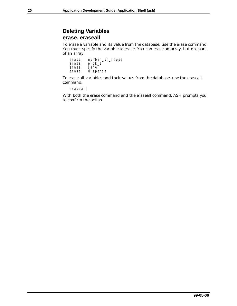# <span id="page-25-0"></span>**Deleting Variables erase, eraseall**

To erase a variable and its value from the database, use the erase command. You must specify the variable to erase. You can erase an array, but not part of an array.

| erase | number_of_loops |
|-------|-----------------|
| erase | pi ck_1         |
| erase | safe            |
| erase | di spense       |

To erase all variables and their values from the database, use the eraseall command.

eraseall

With both the erase command and the eraseall command, ASH prompts you to confirm the action.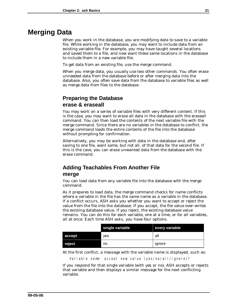# <span id="page-26-0"></span>**Merging Data**

When you work in the database, you are modifying data to save to a variable file. While working in the database, you may want to include data from an existing variable file. For example, you may have taught several locations and saved them to a file, and now want these same locations in the database to include them in a new variable file.

To get data from an existing file, use the merge command.

When you merge data, you usually use two other commands. You often erase unneeded data from the database before or after merging data into the database. Also, you often save data from the database to variable files as well as merge data from files to the database.

# **Preparing the Database erase & eraseall**

You may work on a series of variable files with very different content. If this is the case, you may want to erase all data in the database with the eraseall command. You can then load the contents of the next variable file with the merge command. Since there are no variables in the database to conflict, the merge command loads the entire contents of the file into the database without prompting for confirmation.

Alternatively, you may be working with data in the database and, after saving to one file, want some, but not all, of that data for the second file. If this is the case, you can erase unwanted data from the database with the erase command.

# **Adding Teachables From Another File merge**

You can load data from any variable file into the database with the merge command.

As it prepares to load data, the merge command checks for name conflicts where a variable in the file has the same name as a variable in the database. If a conflict occurs, ASH asks you whether you want to accept or reject the value from the file into the database. If you accept, the file value over-writes the existing database value. If you reject, the existing database value remains. You can do this for each variable, one at a time, or for all variables, all at once. Each time ASH asks, you have four options.

|        | single variable | every variable |
|--------|-----------------|----------------|
| accept | ves             | all            |
| reject | no              | ignore         |

At the first conflict, a message with the variable name is displayed, such as:

Variable name: accept new value (yes/no/all/ignore)?

If you respond for that single variable (with yes or no), ASH accepts or rejects that variable and then displays a similar message for the next conflicting variable.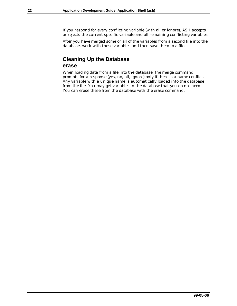<span id="page-27-0"></span>If you respond for every conflicting variable (with all or ignore), ASH accepts or rejects the current specific variable and all remaining conflicting variables.

After you have merged some or all of the variables from a second file into the database, work with those variables and then save them to a file.

# **Cleaning Up the Database erase**

When loading data from a file into the database, the merge command prompts for a response (yes, no, all, ignore) only if there is a name conflict. Any variable with a unique name is automatically loaded into the database from the file. You may get variables in the database that you do not need. You can erase these from the database with the erase command.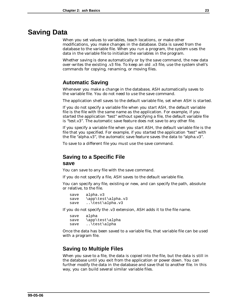# <span id="page-28-0"></span>**Saving Data**

When you set values to variables, teach locations, or make other modifications, you make changes in the database. Data is saved from the database to the variable file. When you run a program, the system uses the data in the variable file to initialize the variables in the program.

Whether saving is done automatically or by the save command, the new data over-writes the existing .v3 file. To keep an old .v3 file, use the system shell's commands for copying, renaming, or moving files.

# **Automatic Saving**

Whenever you make a change in the database, ASH automatically saves to the variable file. You do not need to use the save command.

The application shell saves to the default variable file, set when ASH is started.

If you do not specify a variable file when you start ASH, the default variable file is the file with the same name as the application. For example, if you started the application "test" without specifying a file, the default variable file is "test.v3". The automatic save feature does not save to any other file.

If you specify a variable file when you start ASH, the default variable file is the file that you specified. For example, if you started the application "test" with the file "alpha.v3", the automatic save feature saves the data to "alpha.v3".

To save to a different file you must use the save command.

# **Saving to a Specific File**

#### **save**

You can save to any file with the save command.

If you do not specify a file, ASH saves to the default variable file.

You can specify any file, existing or new, and can specify the path, absolute or relative, to the file.

save alpha.v3 save \app\test\alpha.v3 save ..\test\alpha.v3

If you do not specify the .v3 extension, ASH adds it to the file name.

save alpha save \app\test\alpha save ..\test\alpha

Once the data has been saved to a variable file, that variable file can be used with a program file.

# **Saving to Multiple Files**

When you save to a file, the data is copied into the file, but the data is still in the database until you exit from the application or power down. You can further modify the data in the database and save that to another file. In this way, you can build several similar variable files.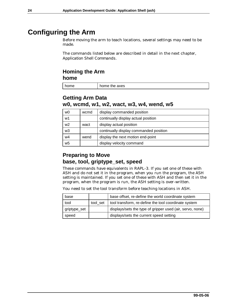# <span id="page-29-0"></span>**Configuring the Arm**

Before moving the arm to teach locations, several settings may need to be made.

The commands listed below are described in detail in the next chapter, *Application Shell Commands*.

### **Homing the Arm home**

home home home home

# **Getting Arm Data w0, wcmd, w1, w2, wact, w3, w4, wend, w5**

| w0 | wcmd | display commanded position             |
|----|------|----------------------------------------|
| w1 |      | continually display actual position    |
| w2 | wact | display actual position                |
| w3 |      | continually display commanded position |
| w4 | wend | display the next motion end-point      |
| w5 |      | display velocity command               |

# **Preparing to Move base, tool, griptype\_set, speed**

These commands have equivalents in RAPL-3. If you set one of these with ASH and do not set it in the program, when you run the program, the ASH setting is maintained. If you set one of these with ASH and then set it in the program, when the program is run, the ASH setting is over-written.

You need to set the tool transform before teaching locations in ASH.

| base         |          | base offset, re-define the world coordinate system        |
|--------------|----------|-----------------------------------------------------------|
| tool         | tool set | tool transform, re-define the tool coordinate system      |
| griptype_set |          | displays/sets the type of gripper used (air, servo, none) |
| speed        |          | displays/sets the current speed setting                   |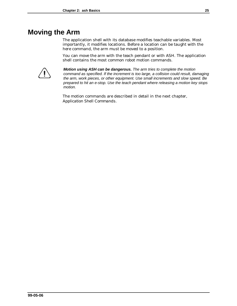# <span id="page-30-0"></span>**Moving the Arm**

The application shell with its database modifies teachable variables. Most importantly, it modifies locations. Before a location can be taught with the here command, the arm must be moved to a position.

You can move the arm with the teach pendant or with ASH. The application shell contains the most common robot motion commands.



*Motion using ASH can be dangerous. The arm tries to complete the motion command as specified. If the increment is too large, a collision could result, damaging the arm, work pieces, or other equipment. Use small increments and slow speed. Be prepared to hit an e-stop. Use the teach pendant where releasing a motion key stops motion.*

The motion commands are described in detail in the next chapter, *Application Shell Commands*.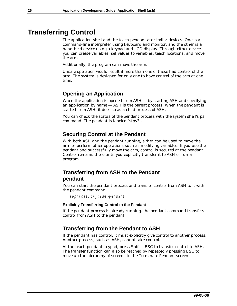# <span id="page-31-0"></span>**Transferring Control**

The application shell and the teach pendant are similar devices. One is a command-line interpreter using keyboard and monitor, and the other is a hand-held device using a keypad and LCD display. Through either device, you can create variables, set values to variables, teach locations, and move the arm.

Additionally, the program can move the arm.

Unsafe operation would result if more than one of these had control of the arm. The system is designed for only one to have control of the arm at one time.

# **Opening an Application**

When the application is opened from  $ASH - by$  starting ASH and specifying an application by name — ASH is the parent process. When the pendant is started from ASH, it does so as a child process of ASH.

You can check the status of the pendant process with the system shell's ps command. The pendant is labeled "stpv3".

### **Securing Control at the Pendant**

With both ASH and the pendant running, either can be used to move the arm or perform other operations such as modifying variables. If you use the pendant and successfully move the arm, control is secured at the pendant. Control remains there until you explicitly transfer it to ASH or run a program.

# **Transferring from ASH to the Pendant pendant**

You can start the pendant process and transfer control from ASH to it with the pendant command.

application name>pendant

#### **Explicitly Transferring Control to the Pendant**

If the pendant process is already running, the pendant command transfers control from ASH to the pendant.

### **Transferring from the Pendant to ASH**

If the pendant has control, it must explicitly give control to another process. Another process, such as ASH, cannot take control.

At the teach pendant keypad, press Shift + ESC to transfer control to ASH. The transfer function can also be reached by repeatedly pressing ESC to move up the hierarchy of screens to the Terminate Pendant screen.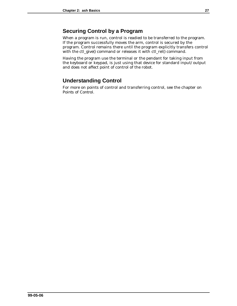# <span id="page-32-0"></span>**Securing Control by a Program**

When a program is run, control is readied to be transferred to the program. If the program successfully moves the arm, control is secured by the program. Control remains there until the program explicitly transfers control with the ctl\_give() command or releases it with ctl\_rel() command.

Having the program use the terminal or the pendant for taking input from the keyboard or keypad, is just using that device for standard input/output and does not affect point of control of the robot.

# **Understanding Control**

For more on points of control and transferring control, see the chapter on P*oints of Control*.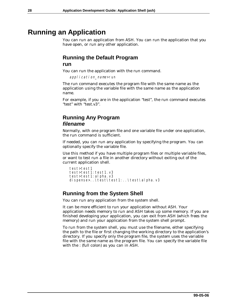# <span id="page-33-0"></span>**Running an Application**

You can run an application from ASH. You can run the application that you have open, or run any other application.

# **Running the Default Program**

#### **run**

You can run the application with the run command.

application\_name>run

The run command executes the program file with the same name as the application using the variable file with the same name as the application name.

For example, if you are in the application "test", the run command executes "test" with "test.v3".

# **Running Any Program** *filename*

Normally, with one program file and one variable file under one application, the run command is sufficient.

If needed, you can run any application by specifying the program. You can optionally specify the variable file.

Use this method if you have multiple program files or multiple variable files, or want to test run a file in another directory without exiting out of the current application shell.

```
test>test1
test>test1: test1.v3
test>test1: al pha. v3
dispense>..\test\test1:..\test\alpha.v3
```
# **Running from the System Shell**

You can run any application from the system shell.

It can be more efficient to run your application without ASH. Your application needs memory to run and ASH takes up some memory. If you are finished developing your application, you can exit from ASH (which frees the memory) and run your application from the system shell prompt.

To run from the system shell, you must use the filename, either specifying the path to the file or first changing the working directory to the application's directory. If you specify only the program file, the system uses the variable file with the same name as the program file. You can specify the variable file with the : (full colon) as you can in ASH.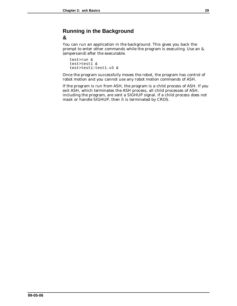# <span id="page-34-0"></span>**Running in the Background &**

You can run an application in the background. This gives you back the prompt to enter other commands while the program is executing. Use an & (ampersand) after the executable.

```
test>run &
test>test1 &
test>test1:test1.v3 &
```
Once the program successfully moves the robot, the program has control of robot motion and you cannot use any robot motion commands of ASH.

If the program is run from ASH, the program is a child process of ASH. If you exit ASH, which terminates the ASH process, all child processes of ASH, including the program, are sent a SIGHUP signal. If a child process does not mask or handle SIGHUP, then it is terminated by CROS.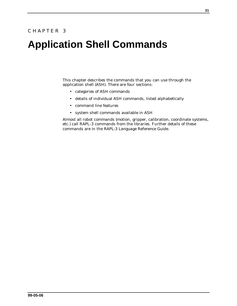# **Application Shell Commands**

This chapter describes the commands that you can use through the application shell (ASH). There are four sections:

- categories of ASH commands
- details of individual ASH commands, listed alphabetically
- command line features
- system shell commands available in ASH

Almost all robot commands (motion, gripper, calibration, coordinate systems, etc.) call RAPL-3 commands from the libraries. Further details of these commands are in the *RAPL-3 Language Reference Guide*.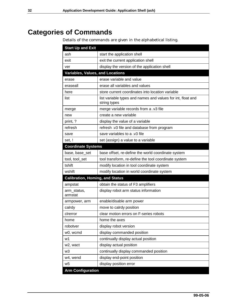# **Categories of Commands**

Details of the commands are given in the alphabetical listing.

| <b>Start Up and Exit</b>               |                                                                             |
|----------------------------------------|-----------------------------------------------------------------------------|
| ash                                    | start the application shell                                                 |
| exit                                   | exit the current application shell                                          |
| ver                                    | display the version of the application shell                                |
| Variables, Values, and Locations       |                                                                             |
| erase                                  | erase variable and value                                                    |
| eraseall                               | erase all variables and values                                              |
| here                                   | store current coordinates into location variable                            |
| list                                   | list variable types and names and values for int, float and<br>string types |
| merge                                  | merge variable records from a .v3 file                                      |
| new                                    | create a new variable                                                       |
| print, ?                               | display the value of a variable                                             |
| refresh                                | refresh .v3 file and database from program                                  |
| save                                   | save variables to a .v3 file                                                |
| set, !                                 | set (assign) a value to a variable                                          |
| <b>Coordinate Systems</b>              |                                                                             |
| base, base set                         | base offset, re-define the world coordinate system                          |
| tool, tool_set                         | tool transform, re-define the tool coordinate system                        |
| tshift                                 | modify location in tool coordinate system                                   |
| wshift                                 | modify location in world coordinate system                                  |
| <b>Calibration, Homing, and Status</b> |                                                                             |
| ampstat                                | obtain the status of F3 amplifiers                                          |
| arm status,<br>armstat                 | display robot arm status information                                        |
| armpower, arm                          | enable/disable arm power                                                    |
| calrdy                                 | move to calrdy position                                                     |
| cirerror                               | clear motion errors on F-series robots                                      |
| home                                   | home the axes                                                               |
| robotver                               | display robot version                                                       |
| w0, wcmd                               | display commanded position                                                  |
| w1                                     | continually display actual position                                         |
| w2, wact                               | display actual position                                                     |
| w3                                     | continually display commanded position                                      |
| w4, wend                               | display end-point position                                                  |
| w5                                     | display position error                                                      |
| <b>Arm Configuration</b>               |                                                                             |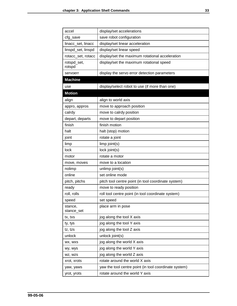| accel                 | display/set accelerations                             |  |
|-----------------------|-------------------------------------------------------|--|
| cfg_save              | save robot configuration                              |  |
| linacc_set, linacc    | display/set linear acceleration                       |  |
| linspd_set, linspd    | display/set linear speed                              |  |
| rotacc_set, rotacc    | display/set the maximum rotational acceleration       |  |
| rotspd_set,<br>rotspd | display/set the maximum rotational speed              |  |
| servoerr              | display the servo error detection parameters          |  |
| <b>Machine</b>        |                                                       |  |
| use                   | display/select robot to use (if more than one)        |  |
| <b>Motion</b>         |                                                       |  |
| align                 | align to world axis                                   |  |
| appro, appros         | move to approach position                             |  |
| calrdy                | move to calrdy position                               |  |
| depart, departs       | move to depart position                               |  |
| finish                | finish motion                                         |  |
| halt                  | halt (stop) motion                                    |  |
| joint                 | rotate a joint                                        |  |
| limp                  | limp joint(s)                                         |  |
| lock                  | lock joint(s)                                         |  |
| motor                 | rotate a motor                                        |  |
| move, moves           | move to a location                                    |  |
| nolimp                | unlimp joint(s)                                       |  |
| online                | set online mode                                       |  |
| pitch, pitchs         | pitch tool centre point (in tool coordinate system)   |  |
| ready                 | move to ready position                                |  |
| roll, rolls           | roll tool centre point (in tool coordinate system)    |  |
| speed                 | set speed                                             |  |
| stance,<br>stance_set | place arm in pose                                     |  |
| tx, txs               | jog along the tool X axis                             |  |
| ty, tys               | jog along the tool Y axis                             |  |
| tz, tzs               | jog along the tool Z axis                             |  |
| unlock                | unlock joint(s)                                       |  |
| WX, WXS               | jog along the world X axis                            |  |
| wy, wys               | jog along the world Y axis                            |  |
| WZ, WZS               | jog along the world Z axis                            |  |
| xrot, xrots           | rotate around the world X axis                        |  |
| yaw, yaws             | yaw the tool centre point (in tool coordinate system) |  |
| yrot, yrots           | rotate around the world Y axis                        |  |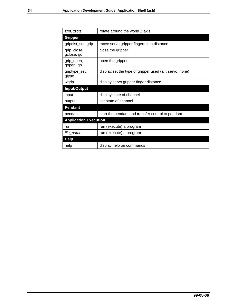| zrot, zrots                  | rotate around the world Z axis                          |  |
|------------------------------|---------------------------------------------------------|--|
| <b>Gripper</b>               |                                                         |  |
| gripdist_set, grip           | move servo gripper fingers to a distance                |  |
| grip_close,<br>gclose, gc    | close the gripper                                       |  |
| grip_open,<br>gopen, go      | open the gripper                                        |  |
| griptype_set,<br>gtype       | display/set the type of gripper used (air, servo, none) |  |
| wgrip                        | display servo gripper finger distance                   |  |
| Input/Output                 |                                                         |  |
| input                        | display state of channel                                |  |
| output                       | set state of channel                                    |  |
| <b>Pendant</b>               |                                                         |  |
| pendant                      | start the pendant and transfer control to pendant       |  |
| <b>Application Execution</b> |                                                         |  |
| run                          | run (execute) a program                                 |  |
| file_name                    | run (execute) a program                                 |  |
| <b>Help</b>                  |                                                         |  |
| help                         | display help on commands                                |  |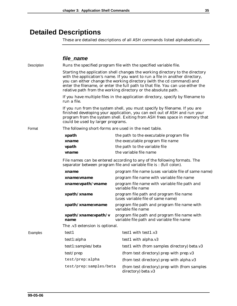### **Detailed Descriptions**

These are detailed descriptions of all ASH commands listed alphabetically.

#### *file\_name*

Description Runs the specified program file with the specified variable file. Starting the application shell changes the working directory to the directory with the application's name. If you want to run a file in another directory, you can either change the working directory (with the cd command) and enter the filename, or enter the full path to that file. You can use either the relative path from the working directory or the absolute path. If you have multiple files in the application directory, specify by filename to run a file. If you run from the system shell, you must specify by filename. If you are finished developing your application, you can exit out of ASH and run your program from the system shell. Exiting from ASH frees space in memory that could be used by larger programs. Format The following short-forms are used in the next table. *xpath* the path to the executable program file *xname* the executable program file name *vpath* the path to the variable file *vname* the variable file name File names can be entered according to any of the following formats. The separator between program file and variable file is : (full colon). *xname* **program file name (uses variable file of same name)** *xname*: *vname* **program** file name with variable file name *xname***:***vpath***/***vname* program file name with variable file path and variable file name *xpath***/***xname* program file path and program file name (uses variable file of same name) *xpath***/***xname***:***vname* program file path and program file name with variable file name *xpath***/***xname***:***vpath***/***v name* program file path and program file name with variable file path and variable file name The .v3 extension is optional. Examples test1 test1 test1 with test1.v3 test1:alpha test1 with alpha.v3 test1:samples/beta test1 with (from samples directory) beta.v3 test/prep (from test directory) prep with prep.v3 test/prep:alpha (from test directory) prep with alpha.v3 test/prep:samples/beta (from test directory) prep with (from samples

directory) beta.v3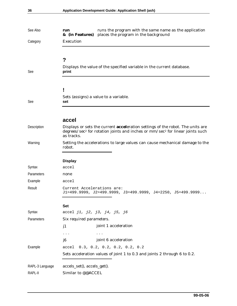| See Also        | runs the program with the same name as the application<br>run<br>places the program in the background<br>& (in Features)                                                                                     |  |
|-----------------|--------------------------------------------------------------------------------------------------------------------------------------------------------------------------------------------------------------|--|
| Category        | Execution                                                                                                                                                                                                    |  |
| See             | ?<br>Displays the value of the specified variable in the current database.<br>print                                                                                                                          |  |
|                 |                                                                                                                                                                                                              |  |
|                 | Į                                                                                                                                                                                                            |  |
| See             | Sets (assigns) a value to a variable.<br>set                                                                                                                                                                 |  |
|                 |                                                                                                                                                                                                              |  |
|                 | accel                                                                                                                                                                                                        |  |
| Description     | Displays or sets the current <b>acceleration</b> settings of the robot. The units are<br>degrees/sec <sup>2</sup> for rotation joints and inches or mm/sec <sup>2</sup> for linear joints such<br>as tracks. |  |
| Warning         | Setting the accelerations to large values can cause mechanical damage to the<br>robot.                                                                                                                       |  |
|                 | <b>Display</b>                                                                                                                                                                                               |  |
| Syntax          | accel                                                                                                                                                                                                        |  |
| Parameters      | none                                                                                                                                                                                                         |  |
| Example         | accel                                                                                                                                                                                                        |  |
| Result          | Current Accelerations are:<br>$J1=499.9999, J2=499.9999, J3=499.9999, J4=2250, J5=499.9999$                                                                                                                  |  |
|                 | <b>Set</b>                                                                                                                                                                                                   |  |
| Syntax          | accel j1, j2, j3, j4, j5, j6                                                                                                                                                                                 |  |
| Parameters      | Six required parameters.                                                                                                                                                                                     |  |
|                 | joint 1 acceleration<br>j1                                                                                                                                                                                   |  |
|                 | $\cdots$<br>$\bullet$ , $\bullet$ , $\bullet$                                                                                                                                                                |  |
|                 | joint 6 acceleration<br>$j\theta$                                                                                                                                                                            |  |
| Example         | 0.3, 0.2, 0.2, 0.2, 0.2, 0.2<br>accel                                                                                                                                                                        |  |
|                 | Sets acceleration values of joint 1 to 0.3 and joints 2 through 6 to 0.2.                                                                                                                                    |  |
| RAPL-3 Language | accels_set(), accels_get().                                                                                                                                                                                  |  |
| RAPL-II         | Similar to @@ACCEL                                                                                                                                                                                           |  |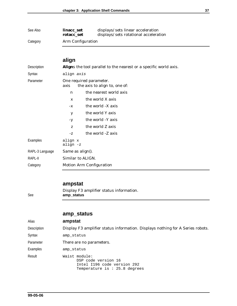| See Also | linacc set<br>rotacc set | displays/sets linear acceleration<br>displays/sets rotational acceleration |
|----------|--------------------------|----------------------------------------------------------------------------|
| Category | Arm Configuration        |                                                                            |

# **align**

| Description                                  | Aligns the tool parallel to the nearest or a specific world axis. |                               |
|----------------------------------------------|-------------------------------------------------------------------|-------------------------------|
| Syntax                                       | align axis                                                        |                               |
| Parameter<br>One required parameter.<br>axis |                                                                   | the axis to align to, one of: |
|                                              | n                                                                 | the nearest world axis        |
|                                              | $\mathbf{x}$                                                      | the world X axis              |
|                                              | $-X$                                                              | the world -X axis             |
|                                              | y                                                                 | the world Y axis              |
|                                              | $-y$                                                              | the world -Y axis             |
|                                              | Z                                                                 | the world Z axis              |
|                                              | $-Z$                                                              | the world -Z axis             |
| Examples                                     | align x<br>align -z                                               |                               |
| RAPL-3 Language                              | Same as align().                                                  |                               |
| RAPL-II                                      | Similar to ALIGN.                                                 |                               |
| Category                                     | Motion Arm Configuration                                          |                               |

### **ampstat**

Display F3 amplifier status information. See **amp\_status**

#### **amp\_status**

| Alias       | ampstat                                                                                             |
|-------------|-----------------------------------------------------------------------------------------------------|
| Description | Display F3 amplifier status information. Displays nothing for A Series robots.                      |
| Syntax      | amp status                                                                                          |
| Parameter   | There are no parameters.                                                                            |
| Examples    | amp status                                                                                          |
| Result      | Waist module:<br>DSP code version 16<br>Intel I196 code version 292<br>Temperature is: 25.8 degrees |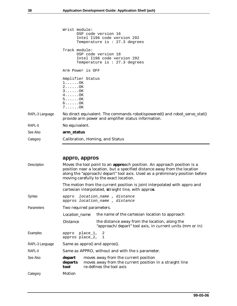| Category        | Calibration, Homing, and Status                                                                                                                                                        |  |
|-----------------|----------------------------------------------------------------------------------------------------------------------------------------------------------------------------------------|--|
| See Also        | arm_status                                                                                                                                                                             |  |
| RAPL-II         | No equivalent.                                                                                                                                                                         |  |
| RAPL-3 Language | No direct equivalent. The commands robotispowered() and robot_servo_stat()<br>provide arm power and amplifier status information.                                                      |  |
|                 | Arm Power is OFF<br>Amplifier Status<br>$1 \ldots \ldots$ OK<br>$2 \ldots \ldots$ OK<br>$3 \ldots \ldots$ OK<br>$4 \ldots \ldots$ OK<br>50K<br>$6 \ldots \ldots$ . OK<br>$7 \ldots 0K$ |  |
|                 | Track module:<br>DSP code version 18<br>Intel I196 code version 292<br>Temperature is $: 27.3$ degrees                                                                                 |  |
|                 | Wrist module:<br>DSP code version 16<br>Intel I196 code version 292<br>Temperature is: $27.3$ degrees                                                                                  |  |

### **appro, appros**

| Description     | Moves the tool point to an <b>appro</b> ach position. An approach position is a<br>position near a location, but a specified distance away from the location<br>along the "approach/depart" tool axis. Used as a preliminary position before<br>moving carefully to the exact location. |                                                                                                                                  |
|-----------------|-----------------------------------------------------------------------------------------------------------------------------------------------------------------------------------------------------------------------------------------------------------------------------------------|----------------------------------------------------------------------------------------------------------------------------------|
|                 |                                                                                                                                                                                                                                                                                         | The motion from the current position is joint interpolated with appro and<br>cartesian interpolated, straight line, with appros. |
| Syntax          |                                                                                                                                                                                                                                                                                         | appro location_name, distance<br>appros location_name, distance                                                                  |
| Parameters      | Two required parameters.                                                                                                                                                                                                                                                                |                                                                                                                                  |
|                 | <i>Location_name</i>                                                                                                                                                                                                                                                                    | the name of the cartesian location to approach                                                                                   |
|                 | <i>Distance</i>                                                                                                                                                                                                                                                                         | the distance away from the location, along the<br>"approach/depart" tool axis, in current units (mm or in)                       |
| Examples        | appro place_1, 2<br>appros place_2, 1                                                                                                                                                                                                                                                   |                                                                                                                                  |
| RAPL-3 Language |                                                                                                                                                                                                                                                                                         | Same as appro() and appros().                                                                                                    |
| RAPL-II         | Same as APPRO, without and with the s parameter.                                                                                                                                                                                                                                        |                                                                                                                                  |
| See Also        | depart<br>departs<br>tool                                                                                                                                                                                                                                                               | moves away from the current position<br>moves away from the current position in a straight line<br>re-defines the tool axis      |
| Category        | Motion                                                                                                                                                                                                                                                                                  |                                                                                                                                  |
|                 |                                                                                                                                                                                                                                                                                         |                                                                                                                                  |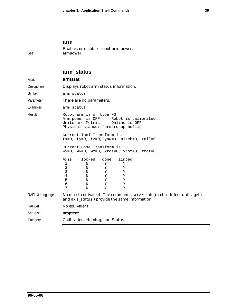#### **arm**

Enables or disables robot arm power. See **armpower**

#### **arm\_status**

| Alias           | armstat                                                                                                                                                                                                                                           |  |
|-----------------|---------------------------------------------------------------------------------------------------------------------------------------------------------------------------------------------------------------------------------------------------|--|
| Description     | Displays robot arm status information.                                                                                                                                                                                                            |  |
| Syntax          | arm status                                                                                                                                                                                                                                        |  |
| Parameter       | There are no parameters.                                                                                                                                                                                                                          |  |
| Examples        | arm status                                                                                                                                                                                                                                        |  |
| Result          | Robot arm is of type F3<br>Arm power is OFF Robot is calibrated<br>Units are Metric  Online is OFF<br>Physical stance: forward up noflip                                                                                                          |  |
|                 | Current Tool Transform is:<br>$tx=0$ , $ty=0$ , $tz=0$ , $yaw=0$ , $pitch=0$ , $roll=0$                                                                                                                                                           |  |
|                 | Current Base Transform is:<br>$wx=0$ , $wy=0$ , $wz=0$ , $xrot=0$ , $yrot=0$ , $zrot=0$                                                                                                                                                           |  |
|                 | Axis<br>locked done<br>limped<br>$\mathbf 1$<br>Y<br>N<br>Υ<br>2<br>$\mathbf Y$<br>Y<br>N<br>3<br>$\mathbf Y$<br>N<br>Y<br>$\overline{4}$<br>$\mathbf Y$<br>Y<br>N<br>5<br>N<br>$\mathbf Y$<br>Υ<br>$\epsilon$<br>Y<br>N<br>Υ<br>7<br>Y<br>Y<br>N |  |
| RAPL-3 Language | No direct equivalent. The commands server_info(), robot_info(), units_get()<br>and axis_status() provide the same information.                                                                                                                    |  |
| RAPL-II         | No equivalent.                                                                                                                                                                                                                                    |  |
| See Also        | ampstat                                                                                                                                                                                                                                           |  |
| Category        | Calibration, Homing, and Status                                                                                                                                                                                                                   |  |
|                 |                                                                                                                                                                                                                                                   |  |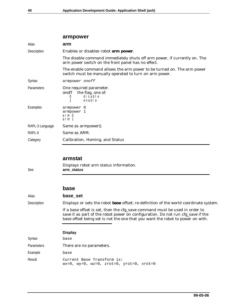| armpower                                                                                                                         |  |
|----------------------------------------------------------------------------------------------------------------------------------|--|
| arm                                                                                                                              |  |
| Enables or disables robot arm power.                                                                                             |  |
| The disable command immediately shuts off arm power, if currently on. The<br>arm power switch on the front panel has no effect.  |  |
| The enable command allows the arm power to be turned on. The arm power<br>switch must be manually operated to turn on arm power. |  |
| armpower onoff                                                                                                                   |  |
| One required parameter.<br>onoff the flag, one of:<br>di sabl e<br>0<br>enabl e                                                  |  |
| armpower 0<br>armpower 1<br>arm O<br>arm 1                                                                                       |  |
| Same as armpower().                                                                                                              |  |
| Same as ARM.                                                                                                                     |  |
| Calibration, Homing, and Status                                                                                                  |  |
|                                                                                                                                  |  |

#### **armstat**

Displays robot arm status information. See **arm\_status**

#### **base**

#### Alias **base\_set**

Description Displays or sets the robot **base** offset; re-definition of the world coordinate system.

If a base offset is set, then the cfg\_save command must be used in order to save it as part of the robot power on configuration. Do not run cfg\_save if the base offset being set is not the one that you want the robot to power on with.

#### **Display**

| Syntax            | base                                                                                    |
|-------------------|-----------------------------------------------------------------------------------------|
| <b>Parameters</b> | There are no parameters.                                                                |
| Example           | base                                                                                    |
| Result            | Current Base Transform is:<br>$wx=0$ , $wy=0$ , $wz=0$ , $zrot=0$ , $yrot=0$ , $xrot=0$ |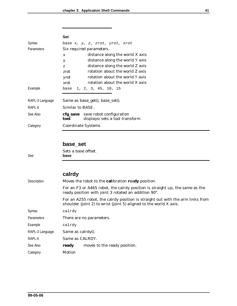|                 | <b>Set</b>               |                                                                     |  |
|-----------------|--------------------------|---------------------------------------------------------------------|--|
| Syntax          |                          | base x, y, z, zrot, yrot, xrot                                      |  |
| Parameters      | Six required parameters. |                                                                     |  |
|                 | $\boldsymbol{X}$         | distance along the world X axis                                     |  |
|                 | y                        | distance along the world Y axis                                     |  |
|                 | Z                        | distance along the world Z axis                                     |  |
|                 | zrot                     | rotation about the world Z axis                                     |  |
|                 | yrot                     | rotation about the world Y axis                                     |  |
|                 | xrot                     | rotation about the world X axis                                     |  |
| Example         | base                     | 1, 2, 3, 45, 10, 15                                                 |  |
|                 |                          |                                                                     |  |
| RAPL-3 Language |                          | Same as base_get(), base_set().                                     |  |
| RAPL-II         | Similar to BASE.         |                                                                     |  |
| See Also        | tool                     | cfg_save save robot configuration<br>displays/sets a tool transform |  |
| Category        | Coordinate Systems       |                                                                     |  |
|                 |                          |                                                                     |  |

### **base\_set**

Sets a base offset. See **base**

### **calrdy**

| <b>Description</b> | Moves the robot to the calibration ready position.                                                                                                   |  |  |
|--------------------|------------------------------------------------------------------------------------------------------------------------------------------------------|--|--|
|                    | For an F3 or A465 robot, the calrdy position is straight up, the same as the<br>ready position with joint 3 rotated an addition 90°.                 |  |  |
|                    | For an A255 robot, the calrdy position is straight out with the arm links from<br>shoulder (joint 2) to wrist (joint 5) aligned to the world X axis. |  |  |
| Syntax             | calrdy                                                                                                                                               |  |  |
| <b>Parameters</b>  | There are no parameters.                                                                                                                             |  |  |
| Example            | calrdy                                                                                                                                               |  |  |
| RAPL-3 Language    | Same as $caldy()$ .                                                                                                                                  |  |  |
| RAPL-II            | Same as CALRDY.                                                                                                                                      |  |  |
| See Also           | moves to the ready position.<br>ready                                                                                                                |  |  |
| Category           | Motion                                                                                                                                               |  |  |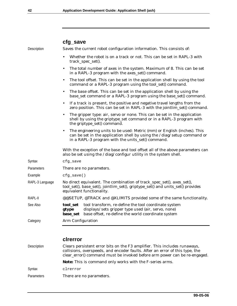|                 | cfg_save                                                                                                                                                                                                             |  |  |  |
|-----------------|----------------------------------------------------------------------------------------------------------------------------------------------------------------------------------------------------------------------|--|--|--|
| Description     | Saves the current robot configuration information. This consists of:                                                                                                                                                 |  |  |  |
|                 | Whether the robot is on a track or not. This can be set in RAPL-3 with<br>track_spec_set().                                                                                                                          |  |  |  |
|                 | The total number of axes in the system. Maximum of 8. This can be set<br>$\bullet$<br>in a RAPL-3 program with the axes_set() command.                                                                               |  |  |  |
|                 | The tool offset. This can be set in the application shell by using the tool<br>$\bullet$<br>command or a RAPL-3 program using the tool_set() command.                                                                |  |  |  |
|                 | The base offset. This can be set in the application shell by using the<br>$\bullet$<br>base_set command or a RAPL-3 program using the base_set() command.                                                            |  |  |  |
|                 | If a track is present, the positive and negative travel lengths from the<br>$\bullet$<br>zero position. This can be set in RAPL-3 with the jointlim_set() command.                                                   |  |  |  |
|                 | The gripper type: air, servo or none. This can be set in the application<br>shell by using the griptype_set command or in a RAPL-3 program with<br>the griptype_set() command.                                       |  |  |  |
|                 | The engineering units to be used: Metric (mm) or English (inches). This<br>$\bullet$<br>can be set in the application shell by using the /diag/setup command or<br>in a RAPL-3 program with the units_set() command. |  |  |  |
|                 | With the exception of the base and tool offset all of the above parameters can<br>also be set using the /diag/configur utility in the system shell.                                                                  |  |  |  |
| Syntax          | cfg_save                                                                                                                                                                                                             |  |  |  |
| Parameters      | There are no parameters.                                                                                                                                                                                             |  |  |  |
| Example         | $cfq \; save()$                                                                                                                                                                                                      |  |  |  |
| RAPL-3 Language | No direct equivalent. The combination of track_spec_set(), axes_set(),<br>tool_set(), base_set(), jointlim_set(), griptype_set() and units_set() provides<br>equivalent functionality.                               |  |  |  |
| RAPL-II         | @@SETUP, @TRACK and @XLIMITS provided some of the same functionality.                                                                                                                                                |  |  |  |
| See Also        | tool transform, re-define the tool coordinate system<br>tool set<br>displays/sets gripper type used (air, servo, none)<br>gtype<br>base offset, re-define the world coordinate system<br>base_set                    |  |  |  |
| Category        | Arm Configuration                                                                                                                                                                                                    |  |  |  |
|                 |                                                                                                                                                                                                                      |  |  |  |

**clrerror**

| Description | Clears persistent error bits on the F3 amplifier. This includes runaways,<br>collisions, overspeeds, and encoder faults. After an error of this type, the<br>clear_error() command must be invoked before arm power can be re-engaged. |
|-------------|----------------------------------------------------------------------------------------------------------------------------------------------------------------------------------------------------------------------------------------|
|             | Note: This is command only works with the F-series arms.                                                                                                                                                                               |
| Syntax      | clrerror                                                                                                                                                                                                                               |
| Parameters  | There are no parameters.                                                                                                                                                                                                               |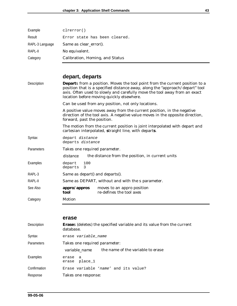| Example         | clreror()                       |
|-----------------|---------------------------------|
| Result          | Error state has been cleared.   |
| RAPL-3 Language | Same as clear error().          |
| RAPL-II         | No equivalent.                  |
| Category        | Calibration, Homing, and Status |

# **depart, departs**

| Description | <b>Departs</b> from a position. Moves the tool point from the current position to a<br>position that is a specified distance away, along the "approach/depart" tool<br>axis. Often used to slowly and carefully move the tool away from an exact<br>location before moving quickly elsewhere. |  |  |
|-------------|-----------------------------------------------------------------------------------------------------------------------------------------------------------------------------------------------------------------------------------------------------------------------------------------------|--|--|
|             | Can be used from any position, not only locations.                                                                                                                                                                                                                                            |  |  |
|             | A positive value moves away from the current position, in the negative<br>direction of the tool axis. A negative value moves in the opposite direction,<br>forward, past the position.                                                                                                        |  |  |
|             | The motion from the current position is joint interpolated with depart and<br>cartesian interpolated, straight line, with departs.                                                                                                                                                            |  |  |
| Syntax      | depart distance<br>departs distance                                                                                                                                                                                                                                                           |  |  |
| Parameters  | Takes one required parameter.                                                                                                                                                                                                                                                                 |  |  |
|             | the distance from the position, in current units<br>distance                                                                                                                                                                                                                                  |  |  |
| Examples    | 100<br>depart<br>departs<br>3                                                                                                                                                                                                                                                                 |  |  |
| RAPL-3      | Same as depart() and departs().                                                                                                                                                                                                                                                               |  |  |
| RAPL-II     | Same as DEPART, without and with the s parameter.                                                                                                                                                                                                                                             |  |  |
| See Also    | appro/appros<br>moves to an appro position<br>re-defines the tool axes<br>tool                                                                                                                                                                                                                |  |  |
| Category    | Motion                                                                                                                                                                                                                                                                                        |  |  |
|             |                                                                                                                                                                                                                                                                                               |  |  |

#### **erase**

| <b>Description</b> | <b>Erases</b> (deletes) the specified variable and its value from the current<br>database. |  |  |
|--------------------|--------------------------------------------------------------------------------------------|--|--|
| Syntax             | erase variable_name                                                                        |  |  |
| Parameters         | Takes one required parameter:                                                              |  |  |
|                    | the name of the variable to erase<br>variable name                                         |  |  |
| Examples           | erase a<br>erase place 1                                                                   |  |  |
| Confirmation       | Erase variable 'name' and its value?                                                       |  |  |
| Response           | Takes one response:                                                                        |  |  |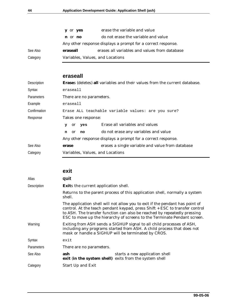|          | y or yes                                                     | erase the variable and value                  |  |
|----------|--------------------------------------------------------------|-----------------------------------------------|--|
|          | n or no                                                      | do not erase the variable and value           |  |
|          | Any other response displays a prompt for a correct response. |                                               |  |
| See Also | eraseall                                                     | erases all variables and values from database |  |
| Category | Variables, Values, and Locations                             |                                               |  |

### **eraseall**

| Description  | <b>Erases (deletes) all variables and their values from the current database.</b> |                                                  |  |
|--------------|-----------------------------------------------------------------------------------|--------------------------------------------------|--|
| Syntax       | eraseall                                                                          |                                                  |  |
| Parameters   | There are no parameters.                                                          |                                                  |  |
| Example      | eraseall                                                                          |                                                  |  |
| Confirmation | Erase ALL teachable variable values: are you sure?                                |                                                  |  |
| Response     | Takes one response:                                                               |                                                  |  |
|              | yes<br><sub>or</sub><br>У                                                         | Erase all variables and values                   |  |
|              | <sub>or</sub><br>no<br>n                                                          | do not erase any variables and value             |  |
|              | Any other response displays a prompt for a correct response.                      |                                                  |  |
| See Also     | erase                                                                             | erases a single variable and value from database |  |
| Category     | Variables, Values, and Locations                                                  |                                                  |  |

### **exit**

| Alias             | quit                                                                                                                                                                                                                                                                                                                |  |  |
|-------------------|---------------------------------------------------------------------------------------------------------------------------------------------------------------------------------------------------------------------------------------------------------------------------------------------------------------------|--|--|
| Description       | Exits the current application shell.                                                                                                                                                                                                                                                                                |  |  |
|                   | Returns to the parent process of this application shell, normally a system<br>shell.                                                                                                                                                                                                                                |  |  |
|                   | The application shell will not allow you to exit if the pendant has point of<br>control. At the teach pendant keypad, press Shift + ESC to transfer control<br>to ASH. The transfer function can also be reached by repeatedly pressing<br>ESC to move up the hierarchy of screens to the Terminate Pendant screen. |  |  |
| Warning           | Exiting from ASH sends a SIGHUP signal to all child processes of ASH,<br>including any programs started from ASH. A child process that does not<br>mask or handle a SIGHUP will be terminated by CROS.                                                                                                              |  |  |
| Syntax            | exit                                                                                                                                                                                                                                                                                                                |  |  |
| <b>Parameters</b> | There are no parameters.                                                                                                                                                                                                                                                                                            |  |  |
| See Also          | ash<br>starts a new application shell<br>exit (in the system shell) exits from the system shell                                                                                                                                                                                                                     |  |  |
| Category          | Start Up and Exit                                                                                                                                                                                                                                                                                                   |  |  |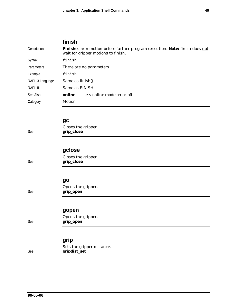# **finish**

| Description     | <b>Finishes arm motion before further program execution. Note: finish does not</b><br>wait for gripper motions to finish. |                            |  |
|-----------------|---------------------------------------------------------------------------------------------------------------------------|----------------------------|--|
| Syntax          | finish                                                                                                                    |                            |  |
| Parameters      | There are no parameters.                                                                                                  |                            |  |
| Example         | finish                                                                                                                    |                            |  |
| RAPL-3 Language | Same as finish().                                                                                                         |                            |  |
| RAPL-II         | Same as FINISH.                                                                                                           |                            |  |
| See Also        | online                                                                                                                    | sets online mode on or off |  |
| Category        | Motion                                                                                                                    |                            |  |
|                 |                                                                                                                           |                            |  |

#### **gc**

| Closes the gripper.<br>grip_close |  |
|-----------------------------------|--|
|-----------------------------------|--|

# **gclose**

| Closes the gripper. |  |
|---------------------|--|
| grip_close          |  |

#### **go**

| Opens the gripper. |
|--------------------|
| grip_open          |

Opens the gripper.

#### **gopen**

See **grip\_close**

See **grip\_close**

See **grip\_open**

# See **grip\_open**

### **grip**

Sets the gripper distance. See **gripdist\_set**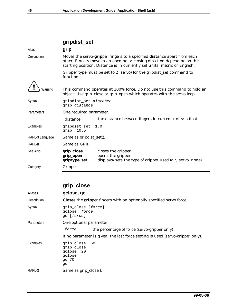# **gripdist\_set**

| Alias           | grip                                                                                                                                                                                                                            |                                                                                                                                                    |  |  |  |  |
|-----------------|---------------------------------------------------------------------------------------------------------------------------------------------------------------------------------------------------------------------------------|----------------------------------------------------------------------------------------------------------------------------------------------------|--|--|--|--|
| Description     | Moves the servo-gripper fingers to a specified distance apart from each<br>other. Fingers move in an opening or closing direction depending on the<br>starting position. Distance is in currently set units: metric or English. |                                                                                                                                                    |  |  |  |  |
|                 | Gripper type must be set to 2 (servo) for the gripdist_set command to<br>function.                                                                                                                                              |                                                                                                                                                    |  |  |  |  |
| Warning         |                                                                                                                                                                                                                                 | This command operates at 100% force. Do not use this command to hold an<br>object. Use grip_close or grip_open which operates with the servo loop. |  |  |  |  |
| Syntax          | gripdist_set distance<br>grip distance                                                                                                                                                                                          |                                                                                                                                                    |  |  |  |  |
| Parameters      | One required parameter.                                                                                                                                                                                                         |                                                                                                                                                    |  |  |  |  |
|                 | distance                                                                                                                                                                                                                        | the distance between fingers in current units: a float                                                                                             |  |  |  |  |
| Examples        | gripdist_set<br>1.0<br>grip $10.5$                                                                                                                                                                                              |                                                                                                                                                    |  |  |  |  |
| RAPL-3 Language | Same as gripdist_set().                                                                                                                                                                                                         |                                                                                                                                                    |  |  |  |  |
| RAPL-II         | Same as GRIP.                                                                                                                                                                                                                   |                                                                                                                                                    |  |  |  |  |
| See Also        | grip_close<br>grip_open<br>griptype_set                                                                                                                                                                                         | closes the gripper<br>opens the gripper<br>displays/sets the type of gripper used (air, servo, none)                                               |  |  |  |  |
| Category        | Gripper                                                                                                                                                                                                                         |                                                                                                                                                    |  |  |  |  |

# **grip\_close**

| Aliases           | gclose, gc                                                                          |                                                                                |  |
|-------------------|-------------------------------------------------------------------------------------|--------------------------------------------------------------------------------|--|
| Description       | <b>Closes</b> the <b>grip</b> per fingers with an optionally specified servo force. |                                                                                |  |
| Syntax            | grip close [force]<br>qclose [force]<br>qc [force]                                  |                                                                                |  |
| <b>Parameters</b> | One optional parameter.                                                             |                                                                                |  |
|                   | force                                                                               | the percentage of force (servo-gripper only)                                   |  |
|                   |                                                                                     | If no parameter is given, the last force setting is used (servo-gripper only). |  |
| Examples          | grip close<br>grip close<br>qclose 20<br>gclose<br>qc 70<br>$\texttt{gc}$           | - 60                                                                           |  |
| RAPL-3            | Same as grip_close().                                                               |                                                                                |  |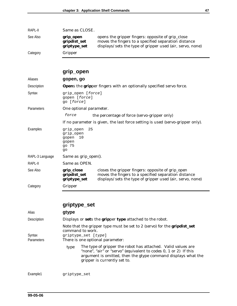| RAPL-II  | Same as CLOSE.                            |                                                                                                                                                                        |
|----------|-------------------------------------------|------------------------------------------------------------------------------------------------------------------------------------------------------------------------|
| See Also | grip_open<br>gripdist_set<br>griptype_set | opens the gripper fingers: opposite of grip_close<br>moves the fingers to a specified separation distance<br>displays/sets the type of gripper used (air, servo, none) |
| Category | Gripper                                   |                                                                                                                                                                        |

# **grip\_open**

| Aliases           | gopen, go                                                                          |                                                                                                                                                                        |  |  |
|-------------------|------------------------------------------------------------------------------------|------------------------------------------------------------------------------------------------------------------------------------------------------------------------|--|--|
| Description       | <b>Opens</b> the <b>grip</b> per fingers with an optionally specified servo force. |                                                                                                                                                                        |  |  |
| Syntax            | grip_open [force]<br>gopen [force]<br>qo [force]                                   |                                                                                                                                                                        |  |  |
| <b>Parameters</b> | One optional parameter.                                                            |                                                                                                                                                                        |  |  |
|                   | force                                                                              | the percentage of force (servo-gripper only)                                                                                                                           |  |  |
|                   |                                                                                    | If no parameter is given, the last force setting is used (servo-gripper only).                                                                                         |  |  |
| Examples          | 25<br>grip_open<br>grip_open<br>gopen<br>10<br>qopen<br>go 75<br>qo                |                                                                                                                                                                        |  |  |
| RAPL-3 Language   | Same as grip_open().                                                               |                                                                                                                                                                        |  |  |
| RAPL-II           | Same as OPEN.                                                                      |                                                                                                                                                                        |  |  |
| See Also          | grip_close<br>gripdist_set<br>griptype_set                                         | closes the gripper fingers: opposite of grip_open<br>moves the fingers to a specified separation distance<br>displays/sets the type of gripper used (air, servo, none) |  |  |
| Category          | Gripper                                                                            |                                                                                                                                                                        |  |  |

|                             | griptype_set                                                                                                                                                                                                                              |  |  |  |  |
|-----------------------------|-------------------------------------------------------------------------------------------------------------------------------------------------------------------------------------------------------------------------------------------|--|--|--|--|
| Alias                       | gtype                                                                                                                                                                                                                                     |  |  |  |  |
| Description                 | Displays or sets the gripper type attached to the robot.                                                                                                                                                                                  |  |  |  |  |
| Syntax<br><b>Parameters</b> | Note that the gripper type must be set to 2 (servo) for the <b>gripdist_set</b><br>command to work.<br>griptype_set [type]<br>There is one optional parameter:                                                                            |  |  |  |  |
|                             | The type of gripper the robot has attached. Valid values are<br>type<br>"none", "air" or "servo" (equivalent to codes 0, 1 or 2) If this<br>argument is omitted, then the gtype command displays what the<br>gripper is currently set to. |  |  |  |  |
| Example1                    | griptype_set                                                                                                                                                                                                                              |  |  |  |  |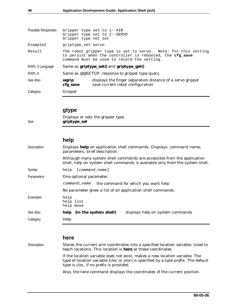| Possible Responses | Gripper type set to 1--AIR<br>Gripper type set to 2--SERVO<br>Gripper type not set |                                                                                                                                                                                  |  |  |
|--------------------|------------------------------------------------------------------------------------|----------------------------------------------------------------------------------------------------------------------------------------------------------------------------------|--|--|
| Example2           | griptype set servo                                                                 |                                                                                                                                                                                  |  |  |
| Result             |                                                                                    | The robot gripper type is set to servo. Note: for this setting<br>to persist when the controller is rebooted, the <b>cfg save</b><br>command must be used to record the setting. |  |  |
| RAPL-3 Language    |                                                                                    | Same as griptype_set() and griptype_get()                                                                                                                                        |  |  |
| RAPL-II            |                                                                                    | Same as @@SETUP: response to gripper type query                                                                                                                                  |  |  |
| See Also           | wgrip<br>cfg_save                                                                  | displays the finger separation distance of a servo gripper<br>save current robot configuration                                                                                   |  |  |
| Category           | Gripper                                                                            |                                                                                                                                                                                  |  |  |
|                    |                                                                                    |                                                                                                                                                                                  |  |  |

#### **gtype**

Displays or sets the gripper type. See **griptype\_set**

#### **help**

| Description       | Displays help on application shell commands. Displays: command name,<br>parameters, brief description.                                                   |
|-------------------|----------------------------------------------------------------------------------------------------------------------------------------------------------|
|                   | Although many system shell commands are accessible from the application<br>shell, help on system shell commands is available only from the system shell. |
| Syntax            | [command_name]<br>help                                                                                                                                   |
| <b>Parameters</b> | One optional parameter:                                                                                                                                  |
|                   | command name<br>the command for which you want help                                                                                                      |
|                   | No parameter gives a list of all application shell commands.                                                                                             |
| Examples          | help<br>help list<br>help move                                                                                                                           |
| See Also          | help (in the system shell)<br>displays help on system commands                                                                                           |
| Category          | Help                                                                                                                                                     |
|                   |                                                                                                                                                          |

#### **here**

Description Stores the current arm coordinates into a specified location variable. Used to teach locations. This location is **here** at these coordinates.

> If the location variable does not exist, makes a new location variable. The type of location variable (cloc or ploc) is specified by a type prefix. The default type is cloc, if no prefix is provided.

Also, the here command displays the coordinates of the current position.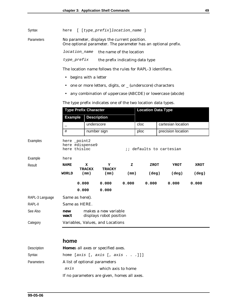|  | Syntax | here |  | [ [type_prefix]location_name ] |  |  |
|--|--------|------|--|--------------------------------|--|--|
|--|--------|------|--|--------------------------------|--|--|

Parameters No parameter, displays the current position. One optional parameter. The parameter has an optional prefix.

location\_name the name of the location

type\_prefix the prefix indicating data type

The location name follows the rules for RAPL-3 identifiers.

- begins with a letter
- one or more letters, digits, or \_ (underscore) characters
- any combination of uppercase (ABCDE) or lowercase (abcde)

The type prefix indicates one of the two location data types.

| <b>Type Prefix Character</b>                                                              |                |                                                  |                                                 |                                                                                     |                    |                                                            |
|-------------------------------------------------------------------------------------------|----------------|--------------------------------------------------|-------------------------------------------------|-------------------------------------------------------------------------------------|--------------------|------------------------------------------------------------|
|                                                                                           |                |                                                  |                                                 |                                                                                     |                    |                                                            |
|                                                                                           |                |                                                  |                                                 | cloc                                                                                | cartesian location |                                                            |
| #                                                                                         |                |                                                  |                                                 | ploc                                                                                | precision location |                                                            |
| here point2<br>here #dispense9<br>here thisloc<br><i>ii</i> defaults to cartesian<br>here |                |                                                  |                                                 |                                                                                     |                    |                                                            |
|                                                                                           |                |                                                  |                                                 |                                                                                     |                    |                                                            |
| <b>NAME</b>                                                                               | x              | Y<br><b>TRACKY</b>                               | z                                               |                                                                                     | <b>YROT</b>        | <b>XROT</b>                                                |
| <b>WORLD</b>                                                                              | (mm)           | (mm)                                             |                                                 |                                                                                     | $(\text{deg})$     | $(\text{deg})$                                             |
|                                                                                           |                | 0.000                                            | 0.000                                           |                                                                                     | 0.000              | 0.000                                                      |
|                                                                                           |                | 0.000                                            |                                                 |                                                                                     |                    |                                                            |
| Same as here().                                                                           |                |                                                  |                                                 |                                                                                     |                    |                                                            |
|                                                                                           |                |                                                  |                                                 |                                                                                     |                    |                                                            |
| new<br>wact                                                                               |                |                                                  |                                                 |                                                                                     |                    |                                                            |
|                                                                                           |                |                                                  |                                                 |                                                                                     |                    |                                                            |
|                                                                                           | <b>Example</b> | <b>TRACKX</b><br>0.000<br>0.000<br>Same as HERE. | <b>Description</b><br>underscore<br>number sign | makes a new variable<br>displays robot position<br>Variables, Values, and Locations | (mm)               | <b>Location Data Type</b><br><b>ZROT</b><br>(deg)<br>0.000 |

#### **home**

| Description       | Homes all axes or specified axes.           |
|-------------------|---------------------------------------------|
| Syntax            | home $[axis [, axis [, axis]]]$             |
| <b>Parameters</b> | A list of optional parameters               |
|                   | axis<br>which axis to home                  |
|                   | If no parameters are given, homes all axes. |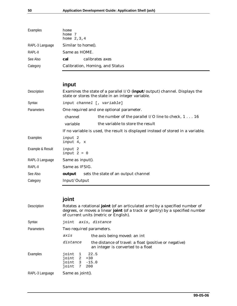| home<br>home 7<br>home $2, 3, 4$ |
|----------------------------------|
| Similar to home().               |
| Same as HOME.                    |
| calibrates axes<br>cal           |
| Calibration, Homing, and Status  |
|                                  |

# **input**

| Description       | Examines the state of a parallel I/O (input/output) channel. Displays the<br>state or stores the state in an integer variable. |                                                                                  |  |  |
|-------------------|--------------------------------------------------------------------------------------------------------------------------------|----------------------------------------------------------------------------------|--|--|
| Syntax            | input channel [, variable]                                                                                                     |                                                                                  |  |  |
| <b>Parameters</b> | One required and one optional parameter.                                                                                       |                                                                                  |  |  |
|                   | channel                                                                                                                        | the number of the parallel I/O line to check, $1 \ldots 16$                      |  |  |
|                   | variable                                                                                                                       | the variable to store the result                                                 |  |  |
|                   |                                                                                                                                | If no variable is used, the result is displayed instead of stored in a variable. |  |  |
| Examples          | input 2<br>input 4, x                                                                                                          |                                                                                  |  |  |
| Example & Result  | input 2<br>$input 2 = 0$                                                                                                       |                                                                                  |  |  |
| RAPL-3 Language   | Same as input().                                                                                                               |                                                                                  |  |  |
| RAPL-II           | Same as IFSIG.                                                                                                                 |                                                                                  |  |  |
| See Also          | output                                                                                                                         | sets the state of an output channel                                              |  |  |
| Category          | Input/Output                                                                                                                   |                                                                                  |  |  |

# **joint**

| Description     | Rotates a rotational <b>joint</b> (of an articulated arm) by a specified number of<br>degrees, or moves a linear <b>joint</b> (of a track or gantry) by a specified number<br>of current units (metric or English). |                                                                                              |  |  |  |
|-----------------|---------------------------------------------------------------------------------------------------------------------------------------------------------------------------------------------------------------------|----------------------------------------------------------------------------------------------|--|--|--|
| Syntax          | joint axis, distance                                                                                                                                                                                                |                                                                                              |  |  |  |
| Parameters      | Two required parameters.                                                                                                                                                                                            |                                                                                              |  |  |  |
|                 | axis                                                                                                                                                                                                                | the axis being moved: an int                                                                 |  |  |  |
|                 | distance                                                                                                                                                                                                            | the distance of travel: a float (positive or negative)<br>an integer is converted to a float |  |  |  |
| Examples        | joint 1 22.5<br>$joint$ 2 +30<br>joint 3 -15.0<br>joint<br>200<br>7                                                                                                                                                 |                                                                                              |  |  |  |
| RAPL-3 Language | Same as joint().                                                                                                                                                                                                    |                                                                                              |  |  |  |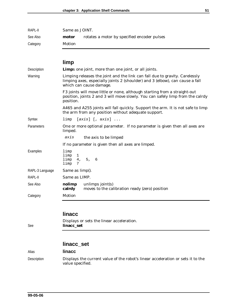| RAPL-II         | Same as JOINT.                                                                                                                                                                         |  |  |  |  |
|-----------------|----------------------------------------------------------------------------------------------------------------------------------------------------------------------------------------|--|--|--|--|
| See Also        | rotates a motor by specified encoder pulses<br>motor                                                                                                                                   |  |  |  |  |
| Category        | Motion                                                                                                                                                                                 |  |  |  |  |
|                 |                                                                                                                                                                                        |  |  |  |  |
|                 | limp                                                                                                                                                                                   |  |  |  |  |
| Description     | Limps one joint, more than one joint, or all joints.                                                                                                                                   |  |  |  |  |
| Warning         | Limping releases the joint and the link can fall due to gravity. Carelessly<br>limping axes, especially joints 2 (shoulder) and 3 (elbow), can cause a fall<br>which can cause damage. |  |  |  |  |
|                 | F3 joints will move little or none, although starting from a straight-out<br>position, joints 2 and 3 will move slowly. You can safely limp from the calrdy<br>position.               |  |  |  |  |
|                 | A465 and A255 joints will fall quickly. Support the arm. It is not safe to limp<br>the arm from any position without adequate support.                                                 |  |  |  |  |
| Syntax          | $[axis]$ $[, axis]$<br>limp                                                                                                                                                            |  |  |  |  |
| Parameters      | One or more optional parameter. If no parameter is given then all axes are<br>limped.                                                                                                  |  |  |  |  |
|                 | axis<br>the axis to be limped                                                                                                                                                          |  |  |  |  |
|                 | If no parameter is given then all axes are limped.                                                                                                                                     |  |  |  |  |
| Examples        | limp<br>limp<br>1<br>4, 5, 6<br>limp<br>limp<br>7                                                                                                                                      |  |  |  |  |
| RAPL-3 Language | Same as limp().                                                                                                                                                                        |  |  |  |  |
| RAPL-II         | Same as LIMP.                                                                                                                                                                          |  |  |  |  |
| See Also        | unlimps joint(s)<br>nolimp<br>moves to the calibration ready (zero) position<br>calrdy                                                                                                 |  |  |  |  |
| Category        | Motion                                                                                                                                                                                 |  |  |  |  |
|                 |                                                                                                                                                                                        |  |  |  |  |
|                 | <b>linacc</b>                                                                                                                                                                          |  |  |  |  |
| See             | Displays or sets the linear acceleration.<br>linacc_set                                                                                                                                |  |  |  |  |
|                 |                                                                                                                                                                                        |  |  |  |  |

### **linacc\_set**

#### Alias **linacc**

Description Displays the current value of the robot's linear acceleration or sets it to the value specified.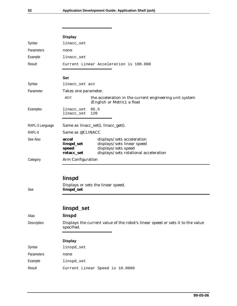|                 | <b>Display</b>                                                                                                                                                         |  |  |  |
|-----------------|------------------------------------------------------------------------------------------------------------------------------------------------------------------------|--|--|--|
| Syntax          | linacc_set                                                                                                                                                             |  |  |  |
| Parameters      | none                                                                                                                                                                   |  |  |  |
| Example         | linacc_set                                                                                                                                                             |  |  |  |
| Result          | Current Linear Acceleration is 100.000                                                                                                                                 |  |  |  |
|                 | <b>Set</b>                                                                                                                                                             |  |  |  |
| Syntax          | linacc_set acc                                                                                                                                                         |  |  |  |
| Parameter       | Takes one parameter.                                                                                                                                                   |  |  |  |
|                 | the acceleration in the current engineering unit system<br>acc<br>(English or Metric); a float                                                                         |  |  |  |
| Examples        | 95.5<br>linacc_set<br>linacc_set<br>120                                                                                                                                |  |  |  |
| RAPL-3 Language | Same as linacc_set(), linacc_get().                                                                                                                                    |  |  |  |
| RAPL-II         | Same as @CLINACC                                                                                                                                                       |  |  |  |
| See Also        | accel<br>displays/sets acceleration<br>displays/sets linear speed<br>linspd_set<br>displays/sets speed<br>speed<br>displays/sets rotational acceleration<br>rotacc_set |  |  |  |
| Category        | Arm Configuration                                                                                                                                                      |  |  |  |
| See             | linspd<br>Displays or sets the linear speed.<br>linspd_set                                                                                                             |  |  |  |
|                 | linspd_set                                                                                                                                                             |  |  |  |
| Alias           | linspd                                                                                                                                                                 |  |  |  |
| Description     | Displays the current value of the robot's linear speed or sets it to the value<br>specified.                                                                           |  |  |  |
|                 | <b>Display</b>                                                                                                                                                         |  |  |  |
| Syntax          | linspd_set                                                                                                                                                             |  |  |  |
| Parameters      | none                                                                                                                                                                   |  |  |  |
| Example         | linspd_set                                                                                                                                                             |  |  |  |
| Result          | Current Linear Speed is 10.0000                                                                                                                                        |  |  |  |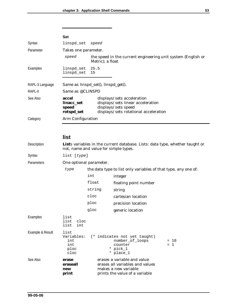|                 | <b>Set</b>                                 |                                                                                                                                 |  |  |
|-----------------|--------------------------------------------|---------------------------------------------------------------------------------------------------------------------------------|--|--|
| Syntax          | linspd set                                 | speed                                                                                                                           |  |  |
| Parameter       | Takes one parameter.                       |                                                                                                                                 |  |  |
|                 | speed                                      | the speed in the current engineering unit system (English or<br>Metric); a float                                                |  |  |
| Examples        | linspd_set 25.5<br>linspd_set 15           |                                                                                                                                 |  |  |
|                 |                                            |                                                                                                                                 |  |  |
| RAPL-3 Language | Same as linspd_set(), linspd_get().        |                                                                                                                                 |  |  |
| RAPL-II         | Same as @CLINSPD                           |                                                                                                                                 |  |  |
| See Also        | accel<br>linacc_set<br>speed<br>rotspd_set | displays/sets acceleration<br>displays/sets linear acceleration<br>displays/sets speed<br>displays/sets rotational acceleration |  |  |
| Category        | Arm Configuration                          |                                                                                                                                 |  |  |
|                 |                                            |                                                                                                                                 |  |  |

### **list**

| Description      | Lists variables in the current database. Lists: data type, whether taught or<br>not, name and value for simple types. |                                                                |                                                                                                                          |                 |
|------------------|-----------------------------------------------------------------------------------------------------------------------|----------------------------------------------------------------|--------------------------------------------------------------------------------------------------------------------------|-----------------|
| Syntax           | list [type]                                                                                                           |                                                                |                                                                                                                          |                 |
| Parameters       | One optional parameter.                                                                                               |                                                                |                                                                                                                          |                 |
|                  | type                                                                                                                  | the data type to list only variables of that type, any one of: |                                                                                                                          |                 |
|                  |                                                                                                                       | int                                                            | integer                                                                                                                  |                 |
|                  |                                                                                                                       | float                                                          | floating point number                                                                                                    |                 |
|                  |                                                                                                                       | string                                                         | string                                                                                                                   |                 |
|                  |                                                                                                                       | cloc                                                           | cartesian location                                                                                                       |                 |
|                  |                                                                                                                       | ploc                                                           | precision location                                                                                                       |                 |
|                  |                                                                                                                       | gloc                                                           | generic location                                                                                                         |                 |
| Examples         | list<br>list<br>cloc<br>list<br>int                                                                                   |                                                                |                                                                                                                          |                 |
| Example & Result | list<br>Variables:<br>int<br>int<br>ploc<br>cloc                                                                      |                                                                | (* indicates not yet taught)<br>number_of_loops<br>counter<br>* pick_1<br>* place 1                                      | $= 10$<br>$= 1$ |
| See Also         | erase<br>eraseall<br>new<br>print                                                                                     |                                                                | erases a variable and value<br>erases all variables and values<br>makes a new variable<br>prints the value of a variable |                 |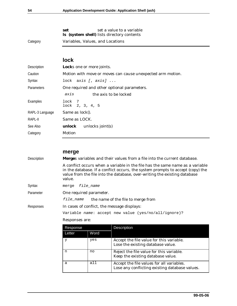|          | set a value to a variable<br>set                  |  |  |
|----------|---------------------------------------------------|--|--|
|          | <b>ls</b> (system shell) lists directory contents |  |  |
| Category | Variables, Values, and Locations                  |  |  |

### **lock**

| Description       | Locks one or more joints.                                  |  |  |  |
|-------------------|------------------------------------------------------------|--|--|--|
| Caution           | Motion with move or moves can cause unexpected arm motion. |  |  |  |
| Syntax            | lock $axis [$ , $axis]$                                    |  |  |  |
| <b>Parameters</b> | One required and other optional parameters.                |  |  |  |
|                   | axis<br>the axis to be locked                              |  |  |  |
| Examples          | lock 7<br>$lock$ 2, 3, 4, 5                                |  |  |  |
| RAPL-3 Language   | Same as lock().                                            |  |  |  |
| RAPL-II           | Same as LOCK.                                              |  |  |  |
| See Also          | <b>unlock</b> unlocks joint(s)                             |  |  |  |
| Category          | Motion                                                     |  |  |  |

|                    | merge                                                                                                                                                                                                                                                  |                                                        |                                                                                             |  |  |
|--------------------|--------------------------------------------------------------------------------------------------------------------------------------------------------------------------------------------------------------------------------------------------------|--------------------------------------------------------|---------------------------------------------------------------------------------------------|--|--|
| <b>Description</b> | Merges variables and their values from a file into the current database.                                                                                                                                                                               |                                                        |                                                                                             |  |  |
|                    | A conflict occurs when a variable in the file has the same name as a variable<br>in the database. If a conflict occurs, the system prompts to accept (copy) the<br>value from the file into the database, over-writing the existing database<br>value. |                                                        |                                                                                             |  |  |
| Syntax             | merge                                                                                                                                                                                                                                                  | file name                                              |                                                                                             |  |  |
| Parameter          | One required parameter.                                                                                                                                                                                                                                |                                                        |                                                                                             |  |  |
|                    |                                                                                                                                                                                                                                                        | <i>file name</i><br>the name of the file to merge from |                                                                                             |  |  |
| Responses          | In cases of conflict, the message displays:                                                                                                                                                                                                            |                                                        |                                                                                             |  |  |
|                    | Variable name: accept new value (yes/no/all/ignore)?                                                                                                                                                                                                   |                                                        |                                                                                             |  |  |
|                    | Responses are:                                                                                                                                                                                                                                         |                                                        |                                                                                             |  |  |
|                    | Response                                                                                                                                                                                                                                               |                                                        | Description                                                                                 |  |  |
|                    | Letter                                                                                                                                                                                                                                                 | Word                                                   |                                                                                             |  |  |
|                    | У                                                                                                                                                                                                                                                      | yes                                                    | Accept the file value for this variable.<br>Lose the existing database value.               |  |  |
|                    | n                                                                                                                                                                                                                                                      | no                                                     | Reject the file value for this variable.<br>Keep the existing database value.               |  |  |
|                    | a                                                                                                                                                                                                                                                      | all                                                    | Accept the file values for all variables.<br>Lose any conflicting existing database values. |  |  |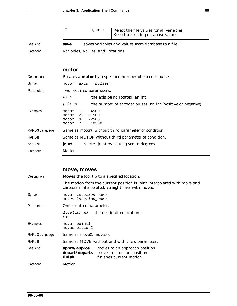|          |                                  | ignore | Reject the file values for all variables.<br>Keep the existing database values. |
|----------|----------------------------------|--------|---------------------------------------------------------------------------------|
| See Also | save                             |        | saves variables and values from database to a file                              |
| Category | Variables, Values, and Locations |        |                                                                                 |

#### **motor**

| Description     | Rotates a <b>motor</b> by a specified number of encoder pulses. |                                                             |  |  |  |
|-----------------|-----------------------------------------------------------------|-------------------------------------------------------------|--|--|--|
| Syntax          | motor axis, pulses                                              |                                                             |  |  |  |
| Parameters      | Two required parameters.                                        |                                                             |  |  |  |
|                 | axis                                                            | the axis being rotated: an int                              |  |  |  |
|                 | pulses                                                          | the number of encoder pulses: an int (positive or negative) |  |  |  |
| Examples        | motor<br>1,<br>motor 2, +1500<br>motor 3, -2500<br>motor 7,     | 4500<br>10500                                               |  |  |  |
| RAPL-3 Language |                                                                 | Same as motor() without third parameter of condition.       |  |  |  |
| RAPL-II         | Same as MOTOR without third parameter of condition.             |                                                             |  |  |  |
| See Also        | joint                                                           | rotates joint by value given in degrees                     |  |  |  |
| Category        | Motion                                                          |                                                             |  |  |  |

#### **move, moves**

| Description     | Moves the tool tip to a specified location.       |                                                                                                                                |  |
|-----------------|---------------------------------------------------|--------------------------------------------------------------------------------------------------------------------------------|--|
|                 |                                                   | The motion from the current position is joint interpolated with move and<br>cartesian interpolated, straight line, with moves. |  |
| Syntax          | location_name<br>move<br>moves location name      |                                                                                                                                |  |
| Parameters      | One required parameter.                           |                                                                                                                                |  |
|                 | <i>location_na</i> the destination location<br>me |                                                                                                                                |  |
| Examples        | move point1<br>moves place 2                      |                                                                                                                                |  |
| RAPL-3 Language | Same as move(), moves().                          |                                                                                                                                |  |
| RAPL-II         |                                                   | Same as MOVE without and with the s parameter.                                                                                 |  |
| See Also        | appro/appros<br>depart/departs<br>finish          | moves to an approach position<br>moves to a depart position<br>finishes current motion                                         |  |
| Category        | Motion                                            |                                                                                                                                |  |
|                 |                                                   |                                                                                                                                |  |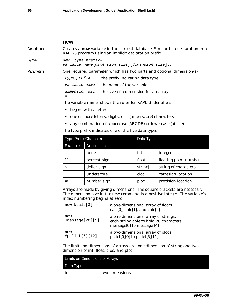#### **new**

Description Creates a **new** variable in the current database. Similar to a declaration in a RAPL-3 program using an implicit declaration prefix.

Syntax new type prefixvariable\_name[dimension\_size][dimension\_size]...

Parameters One required parameter which has two parts and optional dimension(s).

 $type\_prefix$  the prefix indicating data type variable\_name the name of the variable dimension\_siz the size of a dimension for an array

e

The variable name follows the rules for RAPL-3 identifiers.

- begins with a letter
- one or more letters, digits, or \_ (underscore) characters
- any combination of uppercase (ABCDE) or lowercase (abcde)

The type prefix indicates one of the five data types.

| <b>Type Prefix Character</b> |                    | Data Type |                       |
|------------------------------|--------------------|-----------|-----------------------|
| Example                      | <b>Description</b> |           |                       |
|                              | none               | int       | integer               |
| $\%$                         | percent sign       | float     | floating point number |
| S                            | dollar sign        | string[]  | string of characters  |
|                              | underscore         | cloc      | cartesian location    |
| #                            | number sign        | ploc      | precision location    |

Arrays are made by giving dimensions. The square brackets are necessary. The dimension size in the new command is a positive integer. The variable's index numbering begins at zero.

| new %calc[3]             | a one-dimensional array of floats<br>calc $[0]$ , calc $[1]$ , and calc $[2]$                                 |
|--------------------------|---------------------------------------------------------------------------------------------------------------|
| new<br>\$message[20][5]  | a one-dimensional array of strings,<br>each string able to hold 20 characters,<br>message[0] to message $[4]$ |
| new<br>$\#pallet[6][12]$ | a two-dimensional array of plocs,<br>pallet[0][0] to pallet[5][11]                                            |

The limits on dimensions of arrays are: one dimension of string and two dimension of int, float, cloc, and ploc.

| Limits on Dimensions of Arrays |                |  |
|--------------------------------|----------------|--|
| Data Type                      | Limit          |  |
| int                            | two dimensions |  |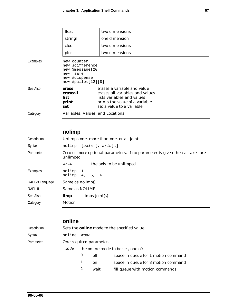|          | float                                                                                                  | two dimensions                                                                                                                                              |
|----------|--------------------------------------------------------------------------------------------------------|-------------------------------------------------------------------------------------------------------------------------------------------------------------|
|          | string[]                                                                                               | one dimension                                                                                                                                               |
|          | cloc                                                                                                   | two dimensions                                                                                                                                              |
|          | ploc                                                                                                   | two dimensions                                                                                                                                              |
| Examples | new counter<br>new %difference<br>new \$message[20]<br>new safe<br>new #dispense<br>new #pallet[12][8] |                                                                                                                                                             |
| See Also | erase<br>eraseall<br>list<br>print<br>set                                                              | erases a variable and value<br>erases all variables and values<br>lists variables and values<br>prints the value of a variable<br>set a value to a variable |
| Category | Variables, Values, and Locations                                                                       |                                                                                                                                                             |

# **nolimp**

| Unlimps one, more than one, or all joints.                                                |                                                                    |  |
|-------------------------------------------------------------------------------------------|--------------------------------------------------------------------|--|
| [axis [, axis]…]<br>nolimp                                                                |                                                                    |  |
| Zero or more optional parameters. If no parameter is given then all axes are<br>unlimped. |                                                                    |  |
| axis                                                                                      | the axis to be unlimped                                            |  |
|                                                                                           |                                                                    |  |
|                                                                                           |                                                                    |  |
|                                                                                           |                                                                    |  |
| limp                                                                                      | $limps$ joint(s)                                                   |  |
| Motion                                                                                    |                                                                    |  |
|                                                                                           | nolimp 1<br>nolimp 4, 5, 6<br>Same as nolimp().<br>Same as NOLIMP. |  |

### **online**

| Description |        |                                    |      | Sets the <b>online</b> mode to the specified value. |  |
|-------------|--------|------------------------------------|------|-----------------------------------------------------|--|
| Syntax      | online | mode                               |      |                                                     |  |
| Parameter   |        | One required parameter.            |      |                                                     |  |
|             | mode   | the online mode to be set, one of: |      |                                                     |  |
|             |        | 0                                  | off  | space in queue for 1 motion command                 |  |
|             |        | 1                                  | on   | space in queue for 8 motion command                 |  |
|             |        | 2                                  | wait | fill queue with motion commands                     |  |
|             |        |                                    |      |                                                     |  |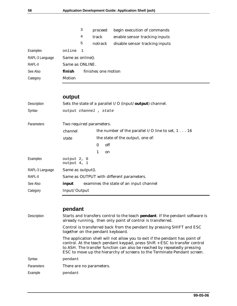|                 |                   | 3            | proceed             | begin execution of commands    |
|-----------------|-------------------|--------------|---------------------|--------------------------------|
|                 |                   | 4            | track               | enable sensor tracking inputs  |
|                 |                   | 5            | notrack             | disable sensor tracking inputs |
| Examples        | online            | $\mathbf{1}$ |                     |                                |
| RAPL-3 Language | Same as online(). |              |                     |                                |
| RAPL-II         | Same as ONLINE.   |              |                     |                                |
| See Also        | finish            |              | finishes one motion |                                |
| Category        | Motion            |              |                     |                                |
|                 |                   |              |                     |                                |

#### **output**

| Description       | Sets the state of a parallel I/O (input/output) channel. |                                                           |  |
|-------------------|----------------------------------------------------------|-----------------------------------------------------------|--|
| Syntax            | output channel, state                                    |                                                           |  |
|                   |                                                          |                                                           |  |
| <b>Parameters</b> | Two required parameters.                                 |                                                           |  |
|                   | channel                                                  | the number of the parallel I/O line to set, $1 \ldots 16$ |  |
|                   | state                                                    | the state of the output, one of:                          |  |
|                   |                                                          | off<br>$\Omega$                                           |  |
|                   |                                                          | 1<br><sub>on</sub>                                        |  |
| Examples          | output 2, 0<br>output 4, 1                               |                                                           |  |
| RAPL-3 Language   | Same as output().                                        |                                                           |  |
| RAPL-II           |                                                          | Same as OUTPUT with different parameters.                 |  |
| See Also          | input                                                    | examines the state of an input channel                    |  |
| Category          | Input/Output                                             |                                                           |  |

#### **pendant**

Description Starts and transfers control to the teach **pendant**. If the pendant software is already running, then only point of control is transferred. Control is transferred back from the pendant by pressing SHIFT and ESC together on the pendant keyboard. The application shell will not allow you to exit if the pendant has point of control. At the teach pendant keypad, press Shift + ESC to transfer control to ASH. The transfer function can also be reached by repeatedly pressing ESC to move up the hierarchy of screens to the Terminate Pendant screen. Syntax pendant Parameters There are no parameters. Example **pendant**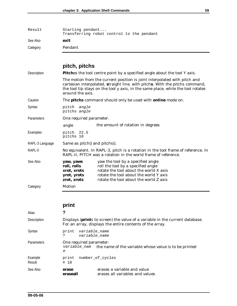| Result   | Starting pendant<br>Transferring robot control to the pendant |
|----------|---------------------------------------------------------------|
| See Also | exit                                                          |
| Category | Pendant                                                       |

# **pitch, pitchs**

| Description     | Pitches the tool centre point by a specified angle about the tool Y axis.                                                                          |                                                                                                                                                                                                                                               |  |
|-----------------|----------------------------------------------------------------------------------------------------------------------------------------------------|-----------------------------------------------------------------------------------------------------------------------------------------------------------------------------------------------------------------------------------------------|--|
|                 | around the axis.                                                                                                                                   | The motion from the current position is joint interpolated with pitch and<br>cartesian interpolated, straight line, with pitchs. With the pitchs command,<br>the tool tip stays on the tool y axis, in the same place, while the tool rotates |  |
| Caution         |                                                                                                                                                    | The <b>pitchs</b> command should only be used with <b>online</b> mode on.                                                                                                                                                                     |  |
| Syntax          | pitch angle<br>pitchs angle                                                                                                                        |                                                                                                                                                                                                                                               |  |
| Parameters      | One required parameter.                                                                                                                            |                                                                                                                                                                                                                                               |  |
|                 | angle                                                                                                                                              | the amount of rotation in degrees                                                                                                                                                                                                             |  |
| Examples        | 22.5<br>pitch<br>pitchs 10                                                                                                                         |                                                                                                                                                                                                                                               |  |
| RAPL-3 Language | Same as pitch() and pitchs().                                                                                                                      |                                                                                                                                                                                                                                               |  |
| RAPL-II         | No equivalent. In RAPL-3, pitch is a rotation in the tool frame of reference. In<br>RAPL-II, PITCH was a rotation in the world frame of reference. |                                                                                                                                                                                                                                               |  |
| See Also        | yaw, yaws<br>roll, rolls<br>xrot, xrots<br>yrot, yrots<br>zrot, zrots                                                                              | yaw the tool by a specified angle<br>roll the tool by a specified angle<br>rotate the tool about the world X axis<br>rotate the tool about the world Y axis<br>rotate the tool about the world Z axis                                         |  |
| Category        | Motion                                                                                                                                             |                                                                                                                                                                                                                                               |  |
|                 |                                                                                                                                                    |                                                                                                                                                                                                                                               |  |

|                   | print                                                                                                                                             |
|-------------------|---------------------------------------------------------------------------------------------------------------------------------------------------|
| Alias             | ?                                                                                                                                                 |
| Description       | Displays ( <b>print</b> s to screen) the value of a variable in the current database.<br>For an array, displays the entire contents of the array. |
| Syntax            | variable name<br>print<br>variable_name<br>?                                                                                                      |
| Parameters        | One required parameter:<br>variable_nam the name of the variable whose value is to be printed<br>e                                                |
| Example<br>Result | number of cycles<br>print<br>$= 10$                                                                                                               |
| See Also          | erases a variable and value<br>erase<br>erases all variables and values<br>eraseall                                                               |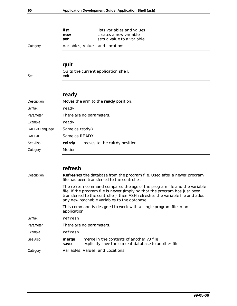|          | list       | lists variables and values                           |  |  |
|----------|------------|------------------------------------------------------|--|--|
|          | new<br>set | creates a new variable<br>sets a value to a variable |  |  |
| Category |            | Variables, Values, and Locations                     |  |  |

# **quit**

Quits the current application shell. See **exit**

# **ready**

| Description     |                  | Moves the arm to the <b>ready</b> position. |
|-----------------|------------------|---------------------------------------------|
| Syntax          | ready            |                                             |
| Parameter       |                  | There are no parameters.                    |
| Example         | ready            |                                             |
| RAPL-3 Language | Same as ready(). |                                             |
| Rapl-II         | Same as READY.   |                                             |
| See Also        | calrdy           | moves to the calrdy position                |
| Category        | Motion           |                                             |
|                 |                  |                                             |

# **refresh**

| Description | <b>Refreshes</b> the database from the program file. Used after a newer program<br>file has been transferred to the controller.<br>The refresh command compares the age of the program file and the variable<br>file. If the program file is newer (implying that the program has just been<br>transferred to the controller), then ASH refreshes the variable file and adds<br>any new teachable variables to the database. |                                                                                                  |  |
|-------------|------------------------------------------------------------------------------------------------------------------------------------------------------------------------------------------------------------------------------------------------------------------------------------------------------------------------------------------------------------------------------------------------------------------------------|--------------------------------------------------------------------------------------------------|--|
|             |                                                                                                                                                                                                                                                                                                                                                                                                                              |                                                                                                  |  |
|             | application.                                                                                                                                                                                                                                                                                                                                                                                                                 | This command is designed to work with a single program file in an                                |  |
| Syntax      | refresh                                                                                                                                                                                                                                                                                                                                                                                                                      |                                                                                                  |  |
| Parameter   | There are no parameters.                                                                                                                                                                                                                                                                                                                                                                                                     |                                                                                                  |  |
| Example     | refresh                                                                                                                                                                                                                                                                                                                                                                                                                      |                                                                                                  |  |
| See Also    | merge<br>save                                                                                                                                                                                                                                                                                                                                                                                                                | merge in the contents of another v3 file<br>explicitly save the current database to another file |  |
| Category    |                                                                                                                                                                                                                                                                                                                                                                                                                              | Variables, Values, and Locations                                                                 |  |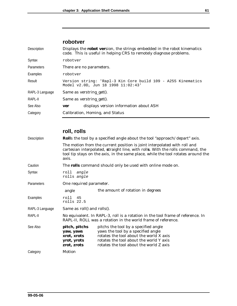### **robotver**

| Displays the robot version, the strings embedded in the robot kinematics<br>code. This is useful in helping CRS to remotely diagnose problems. |  |  |
|------------------------------------------------------------------------------------------------------------------------------------------------|--|--|
| robotver                                                                                                                                       |  |  |
| There are no parameters.                                                                                                                       |  |  |
| robotver                                                                                                                                       |  |  |
| Version string: 'Rapl-3 Kin Core build 109 - A255 Kinematics<br>Model v2.0D, Jun 18 1998 11:02:43'                                             |  |  |
| Same as verstring get().                                                                                                                       |  |  |
| Same as verstring_get().                                                                                                                       |  |  |
| displays version information about ASH<br>ver                                                                                                  |  |  |
| Calibration, Homing, and Status                                                                                                                |  |  |
|                                                                                                                                                |  |  |

# **roll, rolls**

| Description     | <b>Rolls</b> the tool by a specified angle about the tool "approach/depart" axis.                                                                |                                                                                                                                                                                                                                                |  |
|-----------------|--------------------------------------------------------------------------------------------------------------------------------------------------|------------------------------------------------------------------------------------------------------------------------------------------------------------------------------------------------------------------------------------------------|--|
|                 | axis.                                                                                                                                            | The motion from the current position is joint interpolated with roll and<br>cartesian interpolated, straight line, with rolls. With the rolls command, the<br>tool tip stays on the axis, in the same place, while the tool rotates around the |  |
| Caution         | The rolls command should only be used with online mode on.                                                                                       |                                                                                                                                                                                                                                                |  |
| Syntax          | roll<br>angle<br>rolls angle                                                                                                                     |                                                                                                                                                                                                                                                |  |
| Parameters      | One required parameter.                                                                                                                          |                                                                                                                                                                                                                                                |  |
|                 | angle                                                                                                                                            | the amount of rotation in degrees                                                                                                                                                                                                              |  |
| Examples        | roll<br>45<br>rolls 22.5                                                                                                                         |                                                                                                                                                                                                                                                |  |
| RAPL-3 Language | Same as roll() and rolls().                                                                                                                      |                                                                                                                                                                                                                                                |  |
| RAPL-II         | No equivalent. In RAPL-3, roll is a rotation in the tool frame of reference. In<br>RAPL-II, ROLL was a rotation in the world frame of reference. |                                                                                                                                                                                                                                                |  |
| See Also        | pitch, pitchs<br>yaw, yaws<br>xrot, xrots<br>yrot, yrots<br>zrot, zrots                                                                          | pitchs the tool by a specified angle<br>yaws the tool by a specified angle<br>rotates the tool about the world X axis<br>rotates the tool about the world Y axis<br>rotates the tool about the world Z axis                                    |  |
| Category        | Motion                                                                                                                                           |                                                                                                                                                                                                                                                |  |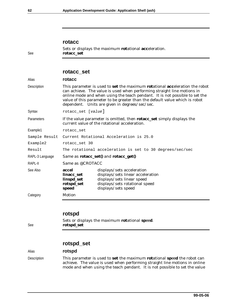#### **rotacc**

Sets or displays the maximum **rot**ational **acc**eleration. See **rotacc\_set**

#### **rotacc\_set**

| Alias           | rotacc                                                                                                                                                                                                                                                                                                                                                                 |                                                                                                                                                        |  |
|-----------------|------------------------------------------------------------------------------------------------------------------------------------------------------------------------------------------------------------------------------------------------------------------------------------------------------------------------------------------------------------------------|--------------------------------------------------------------------------------------------------------------------------------------------------------|--|
| Description     | This parameter is used to set the maximum rotational acceleration the robot<br>can achieve. The value is used when performing straight line motions in<br>online mode and when using the teach pendant. It is not possible to set the<br>value of this parameter to be greater than the default value which is robot<br>dependent. Units are given in degrees/sec/sec. |                                                                                                                                                        |  |
| Syntax          | rotacc_set [value]                                                                                                                                                                                                                                                                                                                                                     |                                                                                                                                                        |  |
| Parameters      | If the <i>value</i> parameter is omitted, then <b>rotacc_set</b> simply displays the<br>current value of the rotational acceleration.                                                                                                                                                                                                                                  |                                                                                                                                                        |  |
| Example1        | rotacc set                                                                                                                                                                                                                                                                                                                                                             |                                                                                                                                                        |  |
| Sample Result   | Current Rotational Acceleration is 25.0                                                                                                                                                                                                                                                                                                                                |                                                                                                                                                        |  |
| Example2        | rotacc set 30                                                                                                                                                                                                                                                                                                                                                          |                                                                                                                                                        |  |
| Result          | The rotational acceleration is set to 30 degrees/sec/sec                                                                                                                                                                                                                                                                                                               |                                                                                                                                                        |  |
| RAPL-3 Language | Same as rotacc_set() and rotacc_get()                                                                                                                                                                                                                                                                                                                                  |                                                                                                                                                        |  |
| RAPL-II         | Same as @CROTACC                                                                                                                                                                                                                                                                                                                                                       |                                                                                                                                                        |  |
| See Also        | accel<br>linacc_set<br>linspd_set<br>rotspd_set<br>speed                                                                                                                                                                                                                                                                                                               | displays/sets acceleration<br>displays/sets linear acceleration<br>displays/sets linear speed<br>displays/sets rotational speed<br>displays/sets speed |  |
| Category        | Motion                                                                                                                                                                                                                                                                                                                                                                 |                                                                                                                                                        |  |
|                 |                                                                                                                                                                                                                                                                                                                                                                        |                                                                                                                                                        |  |

#### **rotspd**

Sets or displays the maximum **rot**ational **sp**ee**d**. See **rotspd\_set**

#### **rotspd\_set**

#### Alias **rotspd**

Description This parameter is used to **set** the maximum **rot**ational **sp**ee**d** the robot can achieve. The value is used when performing straight line motions in online mode and when using the teach pendant. It is not possible to set the value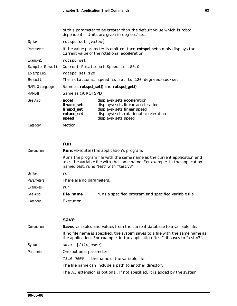of this parameter to be greater than the default value which is robot dependent. Units are given in degrees/sec.

| Syntax            | rotspd_set [value]                                                                                                                    |                                                                                                                                                               |  |
|-------------------|---------------------------------------------------------------------------------------------------------------------------------------|---------------------------------------------------------------------------------------------------------------------------------------------------------------|--|
| <b>Parameters</b> | If the <i>value</i> parameter is omitted, then <b>rotspd_set</b> simply displays the<br>current value of the rotational acceleration. |                                                                                                                                                               |  |
| Example1          | rotspd set                                                                                                                            |                                                                                                                                                               |  |
|                   | Sample Result Current Rotational Speed is 180.0                                                                                       |                                                                                                                                                               |  |
| Example2          | rotspd set 120                                                                                                                        |                                                                                                                                                               |  |
| Result            | The rotational speed is set to 120 degrees/sec/sec                                                                                    |                                                                                                                                                               |  |
| RAPL-3 Language   | Same as rotspd_set() and rotspd_get()                                                                                                 |                                                                                                                                                               |  |
| RAPL-II           | Same as @CROTSPD                                                                                                                      |                                                                                                                                                               |  |
| See Also          | accel<br>linacc set<br>linspd_set<br>rotacc_set<br>speed                                                                              | displays/sets acceleration<br>displays/sets linear acceleration<br>displays/sets linear speed<br>displays/sets rotational acceleration<br>displays/sets speed |  |

Category Motion

#### **run**

| Description       | <b>Runs</b> (executes) the application's program. |                                                                                                                                                                                                  |  |
|-------------------|---------------------------------------------------|--------------------------------------------------------------------------------------------------------------------------------------------------------------------------------------------------|--|
|                   |                                                   | Runs the program file with the same name as the current application and<br>uses the variable file with the same name. For example, in the application<br>named test, runs "test" with "test.v3". |  |
| Syntax            | run                                               |                                                                                                                                                                                                  |  |
| <b>Parameters</b> | There are no parameters.                          |                                                                                                                                                                                                  |  |
| Examples          | run                                               |                                                                                                                                                                                                  |  |
| See Also          | file_name                                         | runs a specified program and specified variable file                                                                                                                                             |  |
| Category          | Execution                                         |                                                                                                                                                                                                  |  |

#### **save**

| Description | <b>Saves</b> variables and values from the current database to a variable file. |                                                                                                                                                                   |  |
|-------------|---------------------------------------------------------------------------------|-------------------------------------------------------------------------------------------------------------------------------------------------------------------|--|
|             |                                                                                 | If no file name is specified, the system saves to a file with the same name as<br>the application. For example, in the application "test", it saves to "test.v3". |  |
| Syntax      | [file name]<br>save                                                             |                                                                                                                                                                   |  |
| Parameter   | One optional parameter.                                                         |                                                                                                                                                                   |  |
|             | file name                                                                       | the name of the variable file                                                                                                                                     |  |
|             | The file name can include a path to another directory.                          |                                                                                                                                                                   |  |
|             |                                                                                 | The .v3 extension is optional. If not specified, it is added by the system.                                                                                       |  |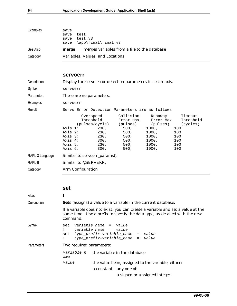| Examples | save                                                  |  |
|----------|-------------------------------------------------------|--|
|          | test<br>save                                          |  |
|          | save test.v3                                          |  |
|          | save $\ap{\rightarrow}$ final $\fin$ al.v3            |  |
| See Also | merges variables from a file to the database<br>merge |  |
| Category | Variables, Values, and Locations                      |  |

### **servoerr**

| Description       | Display the servo error detection parameters for each axis. |                                                     |      |                                                                                                                                                                            |                                                                   |                                                         |
|-------------------|-------------------------------------------------------------|-----------------------------------------------------|------|----------------------------------------------------------------------------------------------------------------------------------------------------------------------------|-------------------------------------------------------------------|---------------------------------------------------------|
| Syntax            |                                                             | servoerr                                            |      |                                                                                                                                                                            |                                                                   |                                                         |
| <b>Parameters</b> |                                                             | There are no parameters.                            |      |                                                                                                                                                                            |                                                                   |                                                         |
| Examples          | servoerr                                                    |                                                     |      |                                                                                                                                                                            |                                                                   |                                                         |
| Result            | Servo Error Detection Parameters are as follows:            |                                                     |      |                                                                                                                                                                            |                                                                   |                                                         |
|                   | Axis 2:                                                     | Axis 1:<br>Axis 3:<br>Axis 4:<br>Axis 5:<br>Axis 6: | 300, | Overspeed Collision<br>Threshold Error Max Error Max<br>(pulses/cycle) (pulses) (pulses) (cycles)<br>230, 500,<br>230, 500,<br>230, 500,<br>300, 500,<br>230, 500,<br>500, | Runaway<br>1000,<br>1000,<br>1000,<br>1000,<br>1000, 100<br>1000, | Timeout<br>Threshold<br>100<br>100<br>100<br>100<br>100 |
| RAPL-3 Language   | Similar to servoerr_params().                               |                                                     |      |                                                                                                                                                                            |                                                                   |                                                         |
| RAPL-II           | Similar to @SERVERR.                                        |                                                     |      |                                                                                                                                                                            |                                                                   |                                                         |
| Category          | Arm Configuration                                           |                                                     |      |                                                                                                                                                                            |                                                                   |                                                         |

#### **set**

| Alias             |                                                                                                                                                                          |
|-------------------|--------------------------------------------------------------------------------------------------------------------------------------------------------------------------|
| Description       | <b>Sets</b> (assigns) a value to a variable in the current database.                                                                                                     |
|                   | If a variable does not exist, you can create a variable and set a value at the<br>same time. Use a prefix to specify the data type, as detailed with the new<br>command. |
| Syntax            | set variable name = value<br>variable_name = value<br>set type_prefix-variable_name = value<br>type prefix-variable name = value                                         |
| <b>Parameters</b> | Two required parameters:                                                                                                                                                 |
|                   | $variable_n$ the variable in the database<br>ame                                                                                                                         |
|                   | value<br>the value being assigned to the variable, either:                                                                                                               |
|                   | a constant any one of:                                                                                                                                                   |
|                   | a signed or unsigned integer                                                                                                                                             |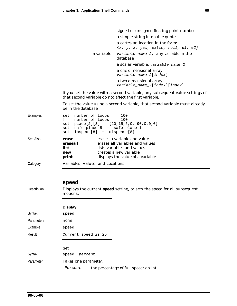|            | signed or unsigned floating point number                                     |  |  |  |
|------------|------------------------------------------------------------------------------|--|--|--|
|            | a simple string in double quotes                                             |  |  |  |
|            | a cartesian location in the form:<br>$\{x, y, z, yaw, pitch, roll, e1, e2\}$ |  |  |  |
| a variable | variable_name_2, any variable in the<br>database                             |  |  |  |
|            | a scalar variable: variable_name_2                                           |  |  |  |
|            | a one dimensional array:<br>variable_name_2[index]                           |  |  |  |
|            | a two dimensional array:<br>variable_name_2[index][index]                    |  |  |  |

If you set the value with a second variable, any subsequent value settings of that second variable do not affect the first variable.

To set the value using a second variable, that second variable must already be in the database.

| Examples | set<br>set                                | number_of_loops = 100<br>number_of_loops = 100<br>set place[2][3] = ${20, 15, 5, 0, -90, 0, 0, 0}$<br>set safe_place_5 = safe_place_1<br>$inspect[8] = dispense[8]$ |
|----------|-------------------------------------------|---------------------------------------------------------------------------------------------------------------------------------------------------------------------|
| See Also | erase<br>eraseall<br>list<br>new<br>print | erases a variable and value<br>erases all variables and values<br>lists variables and values<br>creates a new variable<br>displays the value of a variable          |
| Category | Variables, Values, and Locations          |                                                                                                                                                                     |

#### **speed**

Description Displays the current **speed** setting, or sets the speed for all subsequent motions.

#### **Display**

| Syntax     | speed               |
|------------|---------------------|
| Parameters | none                |
| Example    | speed               |
| Result     | Current speed is 25 |
|            |                     |

#### **Set**

| Syntax    | speed <i>percent</i> |  |                                      |
|-----------|----------------------|--|--------------------------------------|
| Parameter | Takes one parameter. |  |                                      |
|           | Percent              |  | the percentage of full speed: an int |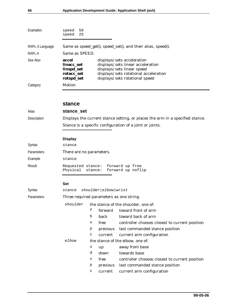| Examples        | speed<br>50<br>speed 25                                       |                                                                                                                                                                          |  |  |  |
|-----------------|---------------------------------------------------------------|--------------------------------------------------------------------------------------------------------------------------------------------------------------------------|--|--|--|
| RAPL-3 Language |                                                               | Same as speed_get(), speed_set(), and their alias, speed().                                                                                                              |  |  |  |
| RAPL-II         |                                                               | Same as SPEED.                                                                                                                                                           |  |  |  |
| See Also        | accel<br>linacc set<br>linspd_set<br>rotacc_set<br>rotspd_set | displays/sets acceleration<br>displays/sets linear acceleration<br>displays/sets linear speed<br>displays/sets rotational acceleration<br>displays/sets rotational speed |  |  |  |
| Category        | Motion                                                        |                                                                                                                                                                          |  |  |  |
|                 |                                                               |                                                                                                                                                                          |  |  |  |

#### **stance**

| Alias       | stance set                                                                    |
|-------------|-------------------------------------------------------------------------------|
| Description | Displays the current stance setting, or places the arm in a specified stance. |
|             | Stance is a specific configuration of a joint or joints.                      |
|             | nianlaw                                                                       |

#### **Display**

| Syntax            | stance                                                                  |  |  |  |  |
|-------------------|-------------------------------------------------------------------------|--|--|--|--|
| <b>Parameters</b> | There are no parameters.                                                |  |  |  |  |
| Example           | stance                                                                  |  |  |  |  |
| Result            | Requested stance: forward up free<br>Physical stance: forward up noflip |  |  |  |  |

#### **Set**

| Syntax            | shoulder elbow wrist<br>stance |                                          |          |                                                |  |
|-------------------|--------------------------------|------------------------------------------|----------|------------------------------------------------|--|
| <b>Parameters</b> |                                | Three required parameters as one string. |          |                                                |  |
|                   | shoulder                       | the stance of the shoulder, one of:      |          |                                                |  |
|                   |                                | f                                        | forward  | toward front of arm                            |  |
|                   |                                | b                                        | back     | toward back of arm                             |  |
|                   |                                | х                                        | free     | controller chooses closest to current position |  |
|                   |                                | p                                        | previous | last commanded stance position                 |  |
|                   |                                | C                                        | current  | current arm configuration                      |  |
|                   | elbow                          | the stance of the elbow, one of:         |          |                                                |  |
|                   |                                | u                                        | up       | away from base                                 |  |
|                   |                                | d                                        | down     | towards base                                   |  |
|                   |                                | x                                        | free     | controller chooses closest to current position |  |
|                   |                                | p                                        | previous | last commanded stance position                 |  |
|                   |                                | C                                        | current  | current arm configuration                      |  |
|                   |                                |                                          |          |                                                |  |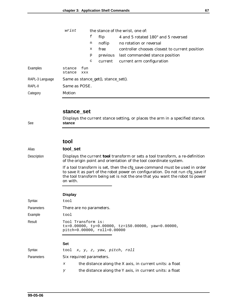|                 | wrist            |            | the stance of the wrist, one of: |                                     |                                                |  |
|-----------------|------------------|------------|----------------------------------|-------------------------------------|------------------------------------------------|--|
|                 |                  |            | f                                | flip                                | 4 and 5 rotated $180^{\circ}$ and 5 reversed   |  |
|                 |                  |            | n                                | noflip                              | no rotation or reversal                        |  |
|                 |                  |            | х                                | free                                | controller chooses closest to current position |  |
|                 |                  |            | p                                | previous                            | last commanded stance position                 |  |
|                 |                  |            | $\mathtt{C}$                     | current                             | current arm configuration                      |  |
| Examples        | stance<br>stance | fun<br>XXX |                                  |                                     |                                                |  |
| RAPL-3 Language |                  |            |                                  | Same as stance_get(), stance_set(). |                                                |  |
| RAPL-II         | Same as POSE.    |            |                                  |                                     |                                                |  |
| Category        | Motion           |            |                                  |                                     |                                                |  |

#### **stance\_set**

Displays the current stance setting, or places the arm in a specified stance. See **stance**

#### **tool**

#### Alias **tool\_set**

Description Displays the current **tool** transform or sets a tool transform, a re-definition of the origin point and orientation of the tool coordinate system.

> If a tool transform is set, then the cfg\_save command must be used in order to save it as part of the robot power on configuration. Do not run cfg\_save if the tool transform being set is not the one that you want the robot to power on with.

#### **Display**

|                   | ------                                                                                                              |
|-------------------|---------------------------------------------------------------------------------------------------------------------|
| Syntax            | tool                                                                                                                |
| <b>Parameters</b> | There are no parameters.                                                                                            |
| Example           | tool                                                                                                                |
| Result            | Tool Transform is:<br>$tx=0.00000$ , $ty=0.00000$ , $tz=150.00000$ , $yaw=0.00000$ ,<br>pitch=0.00000, roll=0.00000 |
|                   | <b>Set</b>                                                                                                          |
| Syntax            | tool x, y, z, yaw, pitch, roll                                                                                      |
| <b>Parameters</b> | Six required parameters.                                                                                            |
|                   | the distance along the X axis, in current units: a float<br>X                                                       |

y the distance along the Y axis, in current units: a float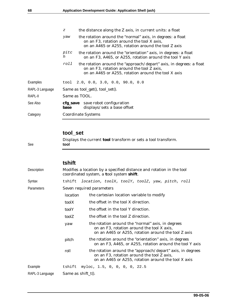|                 | $\boldsymbol{Z}$                | the distance along the Z axis, in current units: a float                                                                                                                 |  |  |
|-----------------|---------------------------------|--------------------------------------------------------------------------------------------------------------------------------------------------------------------------|--|--|
|                 | yaw                             | the rotation around the "normal" axis, in degrees: a float<br>on an F3, rotation around the tool X axis,<br>on an A465 or A255, rotation around the tool Z axis          |  |  |
|                 | pitc<br>h                       | the rotation around the "orientation" axis, in degrees: a float<br>on an F3, A465, or A255, rotation around the tool Y axis                                              |  |  |
|                 | roll                            | the rotation around the "approach/depart" axis, in degrees: a float<br>on an F3, rotation around the tool Z axis,<br>on an A465 or A255, rotation around the tool X axis |  |  |
| Examples        |                                 | tool $2.0, 0.0, 3.0, 0.0, 90.0, 0.0$                                                                                                                                     |  |  |
| RAPL-3 Language | Same as tool_get(), tool_set(). |                                                                                                                                                                          |  |  |
| RAPL-II         | Same as TOOL.                   |                                                                                                                                                                          |  |  |
| See Also        | base                            | cfg_save save robot configuration<br>displays/sets a base offset                                                                                                         |  |  |
| Category        | <b>Coordinate Systems</b>       |                                                                                                                                                                          |  |  |

# **tool\_set**

Displays the current **tool** transform or sets a tool transform. See **tool**

### **tshift**

| Description       | Modifies a location by a specified distance and rotation in the tool<br>coordinated system, a tool system shift. |                                                                                                                                                                 |  |  |
|-------------------|------------------------------------------------------------------------------------------------------------------|-----------------------------------------------------------------------------------------------------------------------------------------------------------------|--|--|
| Syntax            | tshift                                                                                                           | location, toolX, toolY, toolZ, yaw, pitch, roll                                                                                                                 |  |  |
| <b>Parameters</b> | Seven required parameters                                                                                        |                                                                                                                                                                 |  |  |
|                   | location                                                                                                         | the cartesian location variable to modify                                                                                                                       |  |  |
|                   | toolX                                                                                                            | the offset in the tool X direction.                                                                                                                             |  |  |
|                   | toolY                                                                                                            | the offset in the tool Y direction.                                                                                                                             |  |  |
|                   | toolZ                                                                                                            | the offset in the tool Z direction.                                                                                                                             |  |  |
|                   | yaw                                                                                                              | the rotation around the "normal" axis, in degrees<br>on an F3, rotation around the tool X axis,<br>on an A465 or A255, rotation around the tool Z axis          |  |  |
|                   | pitch                                                                                                            | the rotation around the "orientation" axis, in degrees<br>on an F3, A465, or A255, rotation around the tool Y axis                                              |  |  |
|                   | roll                                                                                                             | the rotation around the "approach/depart" axis, in degrees<br>on an F3, rotation around the tool Z axis,<br>on an A465 or A255, rotation around the tool X axis |  |  |
| Example           | tshift                                                                                                           | myloc, 1.5, 0, 0, 0, 0, 22.5                                                                                                                                    |  |  |
| RAPL-3 Language   | Same as shift_t $($ ).                                                                                           |                                                                                                                                                                 |  |  |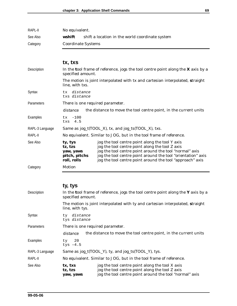| RAPL-II  | No equivalent.     |                                                 |
|----------|--------------------|-------------------------------------------------|
| See Also | wshift             | shift a location in the world coordinate system |
| Category | Coordinate Systems |                                                 |

|                 | tx, txs                                                                                          |                                                                                                                                                                                                                                                                                            |  |  |
|-----------------|--------------------------------------------------------------------------------------------------|--------------------------------------------------------------------------------------------------------------------------------------------------------------------------------------------------------------------------------------------------------------------------------------------|--|--|
| Description     | specified amount.                                                                                | In the tool frame of reference, jogs the tool centre point along the $X$ axis by a                                                                                                                                                                                                         |  |  |
|                 | The motion is joint interpolated with tx and cartesian interpolated, straight<br>line, with txs. |                                                                                                                                                                                                                                                                                            |  |  |
| Syntax          | tx distance<br>txs distance                                                                      |                                                                                                                                                                                                                                                                                            |  |  |
| Parameters      | There is one required parameter.                                                                 |                                                                                                                                                                                                                                                                                            |  |  |
|                 | distance                                                                                         | the distance to move the tool centre point, in the current units                                                                                                                                                                                                                           |  |  |
| Examples        | $tx - 100$<br>4.5<br>txs                                                                         |                                                                                                                                                                                                                                                                                            |  |  |
| RAPL-3 Language |                                                                                                  | Same as jog_t(TOOL_X), tx, and jog_ts(TOOL_X), txs.                                                                                                                                                                                                                                        |  |  |
| RAPL-II         |                                                                                                  | No equivalent. Similar to JOG, but in the tool frame of reference.                                                                                                                                                                                                                         |  |  |
| See Also        | ty, tys<br>tz, tzs<br>yaw, yaws<br>pitch, pitchs<br>roll, rolls                                  | jog the tool centre point along the tool Y axis<br>jog the tool centre point along the tool Z axis<br>jog the tool centre point around the tool "normal" axis<br>jog the tool centre point around the tool "orientation" axis<br>jog the tool centre point around the tool "approach" axis |  |  |
| Category        | Motion                                                                                           |                                                                                                                                                                                                                                                                                            |  |  |

# **ty, tys**

| Description     | In the tool frame of reference, jogs the tool centre point along the Y axis by a<br>specified amount. |                                                                                                                                                               |  |
|-----------------|-------------------------------------------------------------------------------------------------------|---------------------------------------------------------------------------------------------------------------------------------------------------------------|--|
|                 | line, with tys.                                                                                       | The motion is joint interpolated with ty and cartesian interpolated, straight                                                                                 |  |
| Syntax          | ty distance<br>tys distance                                                                           |                                                                                                                                                               |  |
| Parameters      |                                                                                                       | There is one required parameter.                                                                                                                              |  |
|                 | distance                                                                                              | the distance to move the tool centre point, in the current units                                                                                              |  |
| Examples        | $ty$ 20<br>tys $-4.5$                                                                                 |                                                                                                                                                               |  |
| RAPL-3 Language |                                                                                                       | Same as jog_t(TOOL_Y), ty, and jog_ts(TOOL_Y), tys.                                                                                                           |  |
| RAPL-II         |                                                                                                       | No equivalent. Similar to JOG, but in the tool frame of reference.                                                                                            |  |
| See Also        | tx, txs<br>tz, tzs<br>yaw, yaws                                                                       | jog the tool centre point along the tool X axis<br>jog the tool centre point along the tool Z axis<br>jog the tool centre point around the tool "normal" axis |  |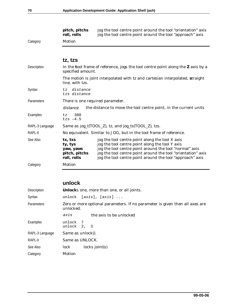|                                                                                                                        | pitch, pitchs<br>roll, rolls                                    | jog the tool centre point around the tool "orientation" axis<br>jog the tool centre point around the tool "approach" axis                                                                                                                                                                  |  |
|------------------------------------------------------------------------------------------------------------------------|-----------------------------------------------------------------|--------------------------------------------------------------------------------------------------------------------------------------------------------------------------------------------------------------------------------------------------------------------------------------------|--|
| Category                                                                                                               | Motion                                                          |                                                                                                                                                                                                                                                                                            |  |
|                                                                                                                        |                                                                 |                                                                                                                                                                                                                                                                                            |  |
|                                                                                                                        | tz, tzs                                                         |                                                                                                                                                                                                                                                                                            |  |
| Description<br>In the tool frame of reference, jogs the tool centre point along the $Z$ axis by a<br>specified amount. |                                                                 |                                                                                                                                                                                                                                                                                            |  |
|                                                                                                                        | line, with tzs.                                                 | The motion is joint interpolated with tz and cartesian interpolated, straight                                                                                                                                                                                                              |  |
| Syntax                                                                                                                 | distance<br>t.z<br>tzs distance                                 |                                                                                                                                                                                                                                                                                            |  |
| Parameters                                                                                                             | There is one required parameter.                                |                                                                                                                                                                                                                                                                                            |  |
|                                                                                                                        | distance                                                        | the distance to move the tool centre point, in the current units                                                                                                                                                                                                                           |  |
| Examples                                                                                                               | 300<br>tz<br>tzs $-4.5$                                         |                                                                                                                                                                                                                                                                                            |  |
| RAPL-3 Language                                                                                                        |                                                                 | Same as jog_t(TOOL_Z), tz, and jog_ts(TOOL_Z), tzs.                                                                                                                                                                                                                                        |  |
| RAPL-II                                                                                                                |                                                                 | No equivalent. Similar to JOG, but in the tool frame of reference.                                                                                                                                                                                                                         |  |
| See Also                                                                                                               | tx, txs<br>ty, tys<br>yaw, yaws<br>pitch, pitchs<br>roll, rolls | jog the tool centre point along the tool X axis<br>jog the tool centre point along the tool Y axis<br>jog the tool centre point around the tool "normal" axis<br>jog the tool centre point around the tool "orientation" axis<br>jog the tool centre point around the tool "approach" axis |  |
| Category                                                                                                               | Motion                                                          |                                                                                                                                                                                                                                                                                            |  |
|                                                                                                                        |                                                                 |                                                                                                                                                                                                                                                                                            |  |

## **unlock**

| Description     | Unlocks one, more than one, or all joints.                                                |  |  |
|-----------------|-------------------------------------------------------------------------------------------|--|--|
| Syntax          | $[axis]$ , $[axis]$<br>unlock                                                             |  |  |
| Parameters      | Zero or more optional parameters. If no parameter is given then all axes are<br>unlocked. |  |  |
|                 | axis<br>the axis to be unlocked                                                           |  |  |
| Examples        | unlock 7<br>unlock $2, 3$                                                                 |  |  |
| RAPL-3 Language | Same as unlock().                                                                         |  |  |
| RAPL-II         | Same as UNLOCK.                                                                           |  |  |
| See Also        | $locks$ joint $(s)$<br>lock                                                               |  |  |
| Category        | Motion                                                                                    |  |  |
|                 |                                                                                           |  |  |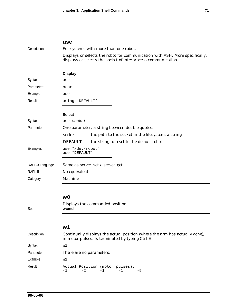| Description     | For systems with more than one robot.                                                                                                         |  |  |
|-----------------|-----------------------------------------------------------------------------------------------------------------------------------------------|--|--|
|                 | Displays or selects the robot for communication with ASH. More specifically,<br>displays or selects the socket of interprocess communication. |  |  |
|                 |                                                                                                                                               |  |  |
|                 | <b>Display</b>                                                                                                                                |  |  |
| Syntax          | use                                                                                                                                           |  |  |
| Parameters      | none                                                                                                                                          |  |  |
| Example         | use                                                                                                                                           |  |  |
| Result          | using 'DEFAULT'                                                                                                                               |  |  |
|                 | <b>Select</b>                                                                                                                                 |  |  |
| Syntax          | use socket                                                                                                                                    |  |  |
| Parameters      | One parameter, a string between double quotes.                                                                                                |  |  |
|                 | the path to the socket in the filesystem: a string<br>socket                                                                                  |  |  |
|                 | <b>DEFAULT</b><br>the string to reset to the default robot                                                                                    |  |  |
| Examples        | use "/dev/robot"<br>use "DEFAULT"                                                                                                             |  |  |
| RAPL-3 Language | Same as server_set / server_get                                                                                                               |  |  |
| RAPL-II         | No equivalent.                                                                                                                                |  |  |
| Category        | Machine                                                                                                                                       |  |  |
|                 |                                                                                                                                               |  |  |
|                 | w <sub>0</sub>                                                                                                                                |  |  |
| See             | Displays the commanded position.<br>wcmd                                                                                                      |  |  |
|                 |                                                                                                                                               |  |  |
|                 | w <sub>1</sub>                                                                                                                                |  |  |
| Description     | Continually displays the actual position (where the arm has actually gone),<br>in motor pulses. Is terminated by typing Ctrl-E.               |  |  |
| Syntax          | w1                                                                                                                                            |  |  |
| Parameter       | There are no parameters.                                                                                                                      |  |  |
| Example         | w1                                                                                                                                            |  |  |
| Result          | Actual Position (motor pulses):<br>$-1$<br>$-1$<br>-2<br>-1<br>-5                                                                             |  |  |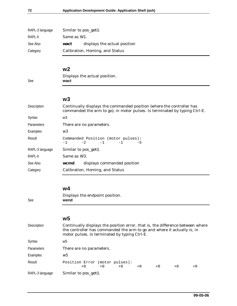| RAPL-3 language | Similar to pos_get().           |                              |  |
|-----------------|---------------------------------|------------------------------|--|
| RAPL-II         | Same as W1.                     |                              |  |
| See Also        | wact                            | displays the actual position |  |
| Category        | Calibration, Homing, and Status |                              |  |

### **w2**

### Displays the actual position. See **wact**

### **w3**

| Description     | Continually displays the commanded position (where the controller has<br>commanded the arm to go), in motor pulses. Is terminated by typing Ctrl-E. |  |  |  |  |  |
|-----------------|-----------------------------------------------------------------------------------------------------------------------------------------------------|--|--|--|--|--|
| Syntax          | w3                                                                                                                                                  |  |  |  |  |  |
| Parameters      | There are no parameters.                                                                                                                            |  |  |  |  |  |
| Examples        | w3                                                                                                                                                  |  |  |  |  |  |
| Result          | Commanded Position (motor pulses):<br>$-2$<br>$-1$<br>$-1$<br>$-5$<br>$-1$                                                                          |  |  |  |  |  |
| RAPL-3 language | Similar to pos_get().                                                                                                                               |  |  |  |  |  |
| RAPL-II         | Same as W <sub>3</sub> .                                                                                                                            |  |  |  |  |  |
| See Also        | displays commanded position<br>wcmd                                                                                                                 |  |  |  |  |  |
| Category        | Calibration, Homing, and Status                                                                                                                     |  |  |  |  |  |

### **w4**

Displays the endpoint position. See **wend**

### **w5**

| <b>Description</b> | Continually displays the position error, that is, the difference between where<br>the controller has commanded the arm to go and where it actually is, in<br>motor pulses. Is terminated by typing Ctrl-E. |  |  |  |  |
|--------------------|------------------------------------------------------------------------------------------------------------------------------------------------------------------------------------------------------------|--|--|--|--|
| Syntax             | w5                                                                                                                                                                                                         |  |  |  |  |
| Parameters         | There are no parameters.                                                                                                                                                                                   |  |  |  |  |
| Examples           | w5                                                                                                                                                                                                         |  |  |  |  |
| Result             | Position Error (motor pulses):<br>$+0$<br>$+0$<br>$+0$<br>$+0$<br>$+0$<br>$+0$<br>$+0$                                                                                                                     |  |  |  |  |
| RAPL-3 language    | Similar to pos_get().                                                                                                                                                                                      |  |  |  |  |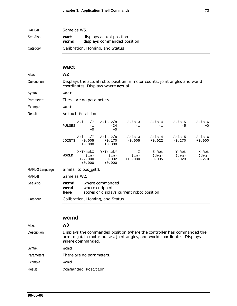| RAPI -II | Same as W <sub>5</sub> . |                                                         |
|----------|--------------------------|---------------------------------------------------------|
| See Also | wact<br>wcmd             | displays actual position<br>displays commanded position |
| Category |                          | Calibration, Homing, and Status                         |

#### **wact**

#### Alias **w2**

Description Displays the actual robot position in motor counts, joint angles and world coordinates. Displays **w**here **act**ual.

Syntax wact

Parameters There are no parameters.

Example wact

Result Mactual Position :

| PULSES | $-1$<br>$+0$                     | Axis 1/7 Axis 2/8<br>$-34$<br>$+0$ | Axis 3<br>$-1$     | Axis 4<br>$-1$     | Axis 5<br>$-5$     | Axis 6<br>$+0$     |
|--------|----------------------------------|------------------------------------|--------------------|--------------------|--------------------|--------------------|
| JOINTS | Axis 1/7<br>$-0.005$<br>$+0.000$ | Axis 2/8<br>$+0.170$<br>$+0.000$   | Axis 3<br>$-0.005$ | Axis 4<br>$+0.022$ | Axis 5<br>$-0.270$ | Axis 6<br>$+0.000$ |

|       | X/TrackX        | Y/TrackY        | Z         | Z-Rot    | Y-Rot    | X-Rot    |
|-------|-----------------|-----------------|-----------|----------|----------|----------|
| WORLD | $\mathsf{in}$ ) | $(\texttt{in})$ | (in)      | (dea)    | (dea)    | (deg)    |
|       | $+22.000$       | $-0.002$        | $+10.030$ | $-0.005$ | $-0.023$ | $-0.270$ |
|       | $+0.000$        | $+0.000$        |           |          |          |          |

RAPL-3 Language Similar to pos\_get(). RAPL-II Same as W2. See Also **wcmd** where commanded **wend** where endpoint **here** stores or displays current robot position Category Calibration, Homing, and Status

#### **wcmd**

| Alias             | w0                                                                                                                                                                        |
|-------------------|---------------------------------------------------------------------------------------------------------------------------------------------------------------------------|
| Description       | Displays the commanded position (where the controller has commanded the<br>arm to go), in motor pulses, joint angles, and world coordinates. Displays<br>where commanded. |
| Syntax            | wcmd                                                                                                                                                                      |
| <b>Parameters</b> | There are no parameters.                                                                                                                                                  |
| Example           | wcmd                                                                                                                                                                      |
| Result            | Commanded Position:                                                                                                                                                       |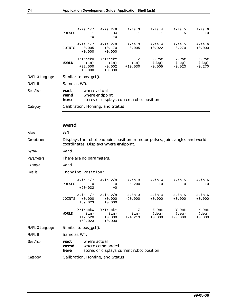| Axis 3<br>Axis 5<br>Axis $1/7$<br>Axis $2/8$<br>Axis 4<br>$-0.005$<br>$+0.170$<br>$-0.005$<br>$+0.022$<br>$-0.270$<br>JOINTS<br>$+0.000$<br>$+0.000$<br>X/TrackX<br>Y/TrackY<br>Z-Rot<br>Y-Rot<br>Ζ<br>(in)<br>(in)<br>(in)<br>(deq)<br><b>WORLD</b><br>(deg)<br>$-0.002$<br>$+10.030$<br>$-0.005$<br>$+22.000$<br>$-0.023$<br>$+0.000$<br>$+0.000$<br>RAPL-3 Language<br>Similar to pos_get().<br>RAPL-II<br>Same as W <sub>0</sub> .<br>See Also<br>where actual<br>wact<br>where endpoint<br>wend<br>stores or displays current robot position<br>here<br>Category<br>Calibration, Homing, and Status | PULSES | Axis $1/7$<br>$-1$<br>$+0$ | Axis 2/8<br>$-34$<br>$+0$ | Axis 3<br>$-1$ | Axis 4<br>$-1$ | Axis 5<br>$-5$ | Axis 6<br>$+0$             |
|----------------------------------------------------------------------------------------------------------------------------------------------------------------------------------------------------------------------------------------------------------------------------------------------------------------------------------------------------------------------------------------------------------------------------------------------------------------------------------------------------------------------------------------------------------------------------------------------------------|--------|----------------------------|---------------------------|----------------|----------------|----------------|----------------------------|
|                                                                                                                                                                                                                                                                                                                                                                                                                                                                                                                                                                                                          |        |                            |                           |                |                |                | Axis 6<br>$+0.000$         |
|                                                                                                                                                                                                                                                                                                                                                                                                                                                                                                                                                                                                          |        |                            |                           |                |                |                | X-Rot<br>(deq)<br>$-0.270$ |
|                                                                                                                                                                                                                                                                                                                                                                                                                                                                                                                                                                                                          |        |                            |                           |                |                |                |                            |
|                                                                                                                                                                                                                                                                                                                                                                                                                                                                                                                                                                                                          |        |                            |                           |                |                |                |                            |
|                                                                                                                                                                                                                                                                                                                                                                                                                                                                                                                                                                                                          |        |                            |                           |                |                |                |                            |
|                                                                                                                                                                                                                                                                                                                                                                                                                                                                                                                                                                                                          |        |                            |                           |                |                |                |                            |

### **wend**

| Alias           | w4                                                                                                   |                                            |                                          |                                                                              |                              |                             |                            |
|-----------------|------------------------------------------------------------------------------------------------------|--------------------------------------------|------------------------------------------|------------------------------------------------------------------------------|------------------------------|-----------------------------|----------------------------|
| Description     |                                                                                                      |                                            | coordinates. Displays where endpoint.    | Displays the robot endpoint position in motor pulses, joint angles and world |                              |                             |                            |
| Syntax          | wend                                                                                                 |                                            |                                          |                                                                              |                              |                             |                            |
| Parameters      |                                                                                                      | There are no parameters.                   |                                          |                                                                              |                              |                             |                            |
| Example         | wend                                                                                                 |                                            |                                          |                                                                              |                              |                             |                            |
| Result          |                                                                                                      | Endpoint Position:                         |                                          |                                                                              |                              |                             |                            |
|                 | <b>PULSES</b>                                                                                        | Axis $1/7$<br>$+0$<br>$+204032$            | Axis $2/8$<br>$+0$<br>$+0$               | Axis 3<br>$-51200$                                                           | Axis 4<br>$+0$               | Axis 5<br>$+0$              | Axis 6<br>$+0$             |
|                 | <b>JOINTS</b>                                                                                        | Axis $1/7$<br>$+0.000$<br>$+59.023$        | Axis $2/8$<br>$+0.000$<br>$+0.000$       | Axis 3<br>$-90.000$                                                          | Axis 4<br>$+0.000$           | Axis 5<br>$+0.000$          | Axis 6<br>$+0.000$         |
|                 | WORLD                                                                                                | X/TrackX<br>(in)<br>$+17.520$<br>$+59.023$ | Y/TrackY<br>(in)<br>$+0.000$<br>$+0.000$ | Ζ<br>(in)<br>$+24.213$                                                       | $Z-Rot$<br>(deq)<br>$+0.000$ | Y-Rot<br>(deq)<br>$+90.000$ | X-Rot<br>(deq)<br>$+0.000$ |
| RAPL-3 Language |                                                                                                      | Similar to pos_get().                      |                                          |                                                                              |                              |                             |                            |
| RAPL-II         | Same as W4.                                                                                          |                                            |                                          |                                                                              |                              |                             |                            |
| See Also        | where actual<br>wact<br>wcmd<br>where commanded<br>stores or displays current robot position<br>here |                                            |                                          |                                                                              |                              |                             |                            |
| Category        | Calibration, Homing, and Status                                                                      |                                            |                                          |                                                                              |                              |                             |                            |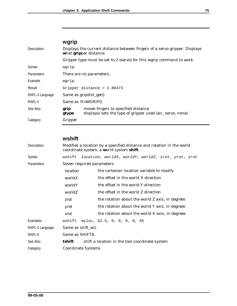# **wgrip**

| Description     |               | Displays the current distance between fingers of a servo gripper. Displays<br>what gripper distance. |  |  |  |  |
|-----------------|---------------|------------------------------------------------------------------------------------------------------|--|--|--|--|
|                 |               | Gripper type must be set to 2 (servo) for this wgrip command to work.                                |  |  |  |  |
| Syntax          | wgrip         |                                                                                                      |  |  |  |  |
| Parameters      |               | There are no parameters.                                                                             |  |  |  |  |
| Example         | wqrip         |                                                                                                      |  |  |  |  |
| Result          |               | Gripper distance = $2.80473$                                                                         |  |  |  |  |
| RAPL-3 Language |               | Same as gripdist_get().                                                                              |  |  |  |  |
| RAPL-II         |               | Same as $IX=WGRIP($ ).                                                                               |  |  |  |  |
| See Also        | grip<br>gtype | moves fingers to specified distance<br>displays/sets the type of gripper used (air, servo, none)     |  |  |  |  |
| Category        | Gripper       |                                                                                                      |  |  |  |  |

### **wshift**

| Description     | Modifies a location by a specified distance and rotation in the world<br>coordinate system, a world system shift. |  |                                                    |  |  |
|-----------------|-------------------------------------------------------------------------------------------------------------------|--|----------------------------------------------------|--|--|
| Syntax          | wshift                                                                                                            |  | location, worldX, worldY, worldZ, zrot, yrot, xrot |  |  |
| Parameters      | Seven required parameters:                                                                                        |  |                                                    |  |  |
|                 | location                                                                                                          |  | the cartesian location variable to modify          |  |  |
|                 | worldX                                                                                                            |  | the offset in the world X direction                |  |  |
|                 | worldY                                                                                                            |  | the offset in the world Y direction                |  |  |
|                 | worldZ                                                                                                            |  | the offset in the world Z direction                |  |  |
|                 | zrot                                                                                                              |  | the rotation about the world Z axis, in degrees    |  |  |
|                 | yrot                                                                                                              |  | the rotation about the world Y axis, in degrees    |  |  |
|                 | xrot                                                                                                              |  | the rotation about the world X axis, in degrees    |  |  |
| Examples        | wshift                                                                                                            |  | myloc, 62.5, 0, 0, 0, 0, 45                        |  |  |
| RAPL-3 Language | Same as $\text{shift}_w()$ .                                                                                      |  |                                                    |  |  |
| RAPL-II         | Same as SHIFTA.                                                                                                   |  |                                                    |  |  |
| See Also        | tshift                                                                                                            |  | shift a location in the tool coordinate system     |  |  |
| Category        | Coordinate Systems                                                                                                |  |                                                    |  |  |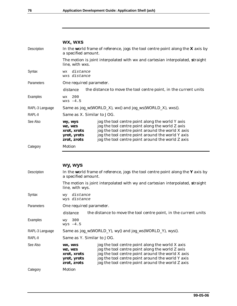|                 | WX, WXS                                                                                                  |                                                                                                                                                                                                                                                                     |  |  |  |  |
|-----------------|----------------------------------------------------------------------------------------------------------|---------------------------------------------------------------------------------------------------------------------------------------------------------------------------------------------------------------------------------------------------------------------|--|--|--|--|
| Description     | In the world frame of reference, jogs the tool centre point along the $X$ axis by<br>a specified amount. |                                                                                                                                                                                                                                                                     |  |  |  |  |
|                 | line, with wxs.                                                                                          | The motion is joint interpolated with wx and cartesian interpolated, straight                                                                                                                                                                                       |  |  |  |  |
| Syntax          | distance<br><b>WX</b><br>wxs distance                                                                    |                                                                                                                                                                                                                                                                     |  |  |  |  |
| Parameters      | One required parameter.                                                                                  |                                                                                                                                                                                                                                                                     |  |  |  |  |
|                 | distance                                                                                                 | the distance to move the tool centre point, in the current units                                                                                                                                                                                                    |  |  |  |  |
| Examples        | 200<br><b>WX</b><br>$wxs -4.5$                                                                           |                                                                                                                                                                                                                                                                     |  |  |  |  |
| RAPL-3 Language |                                                                                                          | Same as jog_w(WORLD_X), wx() and jog_ws(WORLD_X), wxs().                                                                                                                                                                                                            |  |  |  |  |
| RAPL-II         | Same as X. Similar to JOG.                                                                               |                                                                                                                                                                                                                                                                     |  |  |  |  |
| See Also        | wy, wys<br>WZ, WZS<br>xrot, xrots<br>yrot, yrots<br>zrot, zrots                                          | jog the tool centre point along the world Y axis<br>jog the tool centre point along the world Z axis<br>jog the tool centre point around the world X axis<br>jog the tool centre point around the world Y axis<br>jog the tool centre point around the world Z axis |  |  |  |  |
| Category        | Motion                                                                                                   |                                                                                                                                                                                                                                                                     |  |  |  |  |
| Description     | wy, wys<br>a specified amount.                                                                           | In the world frame of reference, jogs the tool centre point along the $Y$ axis by                                                                                                                                                                                   |  |  |  |  |
|                 | line, with wys.                                                                                          | The motion is joint interpolated with wy and cartesian interpolated, straight                                                                                                                                                                                       |  |  |  |  |
| Syntax          | wy distance<br>wys distance                                                                              |                                                                                                                                                                                                                                                                     |  |  |  |  |
| Parameters      | One required parameter.                                                                                  |                                                                                                                                                                                                                                                                     |  |  |  |  |
|                 |                                                                                                          | distance the distance to move the tool centre point, in the current units                                                                                                                                                                                           |  |  |  |  |
| Examples        | 300<br><b>WY</b><br>$wys -4.5$                                                                           |                                                                                                                                                                                                                                                                     |  |  |  |  |
| RAPL-3 Language |                                                                                                          | Same as jog_w(WORLD_Y), wy() and jog_ws(WORLD_Y), wys().                                                                                                                                                                                                            |  |  |  |  |
| RAPL-II         | Same as Y. Similar to JOG.                                                                               |                                                                                                                                                                                                                                                                     |  |  |  |  |
| See Also        | WX, WXS<br>WZ, WZS<br>xrot, xrots<br>yrot, yrots<br>zrot, zrots                                          | jog the tool centre point along the world X axis<br>jog the tool centre point along the world Z axis<br>jog the tool centre point around the world X axis<br>jog the tool centre point around the world Y axis<br>jog the tool centre point around the world Z axis |  |  |  |  |
| Category        | Motion                                                                                                   |                                                                                                                                                                                                                                                                     |  |  |  |  |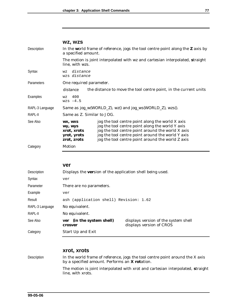|                 | WZ, WZS                                                                                                       |                                                                                                                                                                                                                                                                     |
|-----------------|---------------------------------------------------------------------------------------------------------------|---------------------------------------------------------------------------------------------------------------------------------------------------------------------------------------------------------------------------------------------------------------------|
| Description     | In the world frame of reference, jogs the tool centre point along the <b>Z</b> axis by<br>a specified amount. |                                                                                                                                                                                                                                                                     |
|                 | line, with wzs.                                                                                               | The motion is joint interpolated with wz and cartesian interpolated, straight                                                                                                                                                                                       |
| Syntax          | distance<br><b>WZ</b><br>wzs distance                                                                         |                                                                                                                                                                                                                                                                     |
| Parameters      | One required parameter.                                                                                       |                                                                                                                                                                                                                                                                     |
|                 | distance                                                                                                      | the distance to move the tool centre point, in the current units                                                                                                                                                                                                    |
| Examples        | 400<br>WZ<br>$wzs -4.5$                                                                                       |                                                                                                                                                                                                                                                                     |
| RAPL-3 Language | Same as jog_w(WORLD_Z), wz() and jog_ws(WORLD_Z), wzs().                                                      |                                                                                                                                                                                                                                                                     |
| RAPL-II         | Same as Z. Similar to JOG.                                                                                    |                                                                                                                                                                                                                                                                     |
| See Also        | WX, WXS<br>wy, wys<br>xrot, xrots<br>yrot, yrots<br>zrot, zrots                                               | jog the tool centre point along the world X axis<br>jog the tool centre point along the world Y axis<br>jog the tool centre point around the world X axis<br>jog the tool centre point around the world Y axis<br>jog the tool centre point around the world Z axis |
| Category        | Motion                                                                                                        |                                                                                                                                                                                                                                                                     |

#### **ver**

| Description     | Displays the version of the application shell being used. |                                                                  |
|-----------------|-----------------------------------------------------------|------------------------------------------------------------------|
| Syntax          | ver                                                       |                                                                  |
| Parameter       | There are no parameters.                                  |                                                                  |
| Example         | ver                                                       |                                                                  |
| Result          | ash (application shell) Revision: 1.62                    |                                                                  |
| RAPL-3 Language | No equivalent.                                            |                                                                  |
| RAPL-II         | No equivalent.                                            |                                                                  |
| See Also        | (in the system shell)<br>ver<br>crosver                   | displays version of the system shell<br>displays version of CROS |
| Category        | Start Up and Exit                                         |                                                                  |

#### **xrot, xrots**

Description In the world frame of reference, jogs the tool centre point around the X axis by a specified amount. Performs an **X rot**ation.

> The motion is joint interpolated with xrot and cartesian interpolated, **s**traight line, with xrots.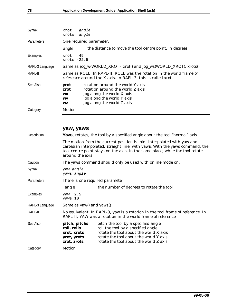| Syntax          | angle<br>xrot<br>angle<br>xrots                                                                                                                                                                                       |  |
|-----------------|-----------------------------------------------------------------------------------------------------------------------------------------------------------------------------------------------------------------------|--|
| Parameters      | One required parameter.                                                                                                                                                                                               |  |
|                 | the distance to move the tool centre point, in degrees<br>angle                                                                                                                                                       |  |
| Examples        | 45<br>xrot<br>$xrots -22.5$                                                                                                                                                                                           |  |
| RAPL-3 Language | Same as jog_w(WORLD_XROT), xrot() and jog_ws(WORLD_XROT), xrots().                                                                                                                                                    |  |
| RAPL-II         | Same as ROLL. In RAPL-II, ROLL was the rotation in the world frame of<br>reference around the X axis. In RAPL-3, this is called xrot.                                                                                 |  |
| See Also        | rotation around the world Y axis<br>yrot<br>rotation around the world Z axis<br>zrot<br>jog along the world X axis<br><b>WX</b><br>jog along the world Y axis<br><b>WY</b><br>jog along the world Z axis<br><b>WZ</b> |  |
| Category        | Motion                                                                                                                                                                                                                |  |
|                 | yaw, yaws                                                                                                                                                                                                             |  |
| Description     | Yaws, rotates, the tool by a specified angle about the tool "normal" axis.                                                                                                                                            |  |

The motion from the current position is joint interpolated with yaw and cartesian interpolated, **s**traight line, with yaw**s**. With the yaws command, the tool centre point stays on the axis, in the same place, while the tool rotates around the axis.

Caution The yaws command should only be used with online mode on.

| Syntax            | yaw <i>angle</i><br>yaws angle                                                                                                                 |                                                                                                                                                                                                         |
|-------------------|------------------------------------------------------------------------------------------------------------------------------------------------|---------------------------------------------------------------------------------------------------------------------------------------------------------------------------------------------------------|
| <b>Parameters</b> | There is one required parameter.                                                                                                               |                                                                                                                                                                                                         |
|                   | angle                                                                                                                                          | the number of degrees to rotate the tool                                                                                                                                                                |
| Examples          | yaw $2.5$<br>yaws 10                                                                                                                           |                                                                                                                                                                                                         |
| RAPL-3 Language   | Same as $yaw()$ and $yaws()$                                                                                                                   |                                                                                                                                                                                                         |
| RAPL-II           | No equivalent. In RAPL-3, yaw is a rotation in the tool frame of reference. In<br>RAPL-II, YAW was a rotation in the world frame of reference. |                                                                                                                                                                                                         |
| See Also          | pitch, pitchs<br>roll, rolls<br>xrot, xrots<br>yrot, yrots<br>zrot, zrots                                                                      | pitch the tool by a specified angle<br>roll the tool by a specified angle<br>rotate the tool about the world X axis<br>rotate the tool about the world Y axis<br>rotate the tool about the world Z axis |
| Category          | Motion                                                                                                                                         |                                                                                                                                                                                                         |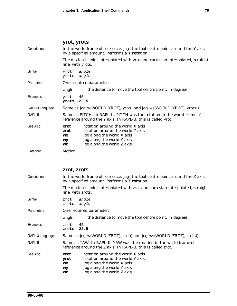|                 | yrot, yrots                                                                                                                                                                                             |  |
|-----------------|---------------------------------------------------------------------------------------------------------------------------------------------------------------------------------------------------------|--|
| Description     | In the world frame of reference, jogs the tool centre point around the Y axis<br>by a specified amount. Performs a Y rotation.                                                                          |  |
|                 | The motion is joint interpolated with yrot and cartesian interpolated, straight<br>line, with yrots.                                                                                                    |  |
| Syntax          | angle<br>yrot<br>angle<br>yrots                                                                                                                                                                         |  |
| Parameters      | One required parameter.                                                                                                                                                                                 |  |
|                 | the distance to move the tool centre point, in degrees<br>angle                                                                                                                                         |  |
| Examples        | 45<br>yrot<br>$yrots -22.5$                                                                                                                                                                             |  |
| RAPL-3 Language | Same as jog_w(WORLD_YROT), yrot() and jog_ws(WORLD_YROT), yrots().                                                                                                                                      |  |
| RAPL-II         | Same as PITCH. In RAPL-II, PITCH was the rotation in the world frame of<br>reference around the Y axis. In RAPL-3, this is called yrot.                                                                 |  |
| See Also        | rotation around the world X axis<br>xrot<br>rotation around the world Z axis<br>zrot<br>jog along the world X axis<br><b>WX</b><br>jog along the world Y axis<br>wy<br>jog along the world Z axis<br>WZ |  |
| Category        | Motion                                                                                                                                                                                                  |  |

### **zrot, zrots**

| Description     | In the world frame of reference, jogs the tool centre point around the Z axis<br>by a specified amount. Performs a <b>Z</b> rotation.                                                                          |  |
|-----------------|----------------------------------------------------------------------------------------------------------------------------------------------------------------------------------------------------------------|--|
|                 | The motion is joint interpolated with zrot and cartesian interpolated, straight<br>line, with zrots.                                                                                                           |  |
| Syntax          | angle<br>zrot<br>zrots<br>angle                                                                                                                                                                                |  |
| Parameters      | One required parameter.                                                                                                                                                                                        |  |
|                 | the distance to move the tool centre point, in degrees<br>angle                                                                                                                                                |  |
| Examples        | 45<br>zrot<br>zrots $-22.5$                                                                                                                                                                                    |  |
| RAPL-3 Language | Same as jog_w(WORLD_ZROT), zrot() and jog_ws(WORLD_ZROT), zrots().                                                                                                                                             |  |
| RAPL-II         | Same as YAW. In RAPL-II, YAW was the rotation in the world frame of<br>reference around the Z axis. In RAPL-3, this is called zrot.                                                                            |  |
| See Also        | rotation around the world X axis<br>xrot<br>rotation around the world Y axis<br>yrot<br>jog along the world X axis<br><b>WX</b><br>jog along the world Y axis<br>WY<br>jog along the world Z axis<br><b>WZ</b> |  |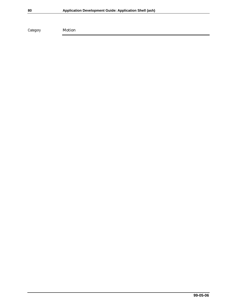Category Motion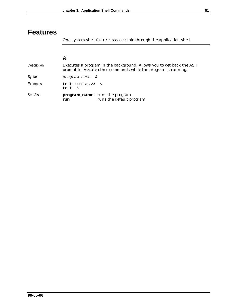# **Features**

One system shell feature is accessible through the application shell.

| Description | Executes a program in the background. Allows you to get back the ASH<br>prompt to execute other commands while the program is running. |
|-------------|----------------------------------------------------------------------------------------------------------------------------------------|
| Syntax      | program name<br>δz                                                                                                                     |
| Examples    | test.r:test.v3 &<br>test &                                                                                                             |
| See Also    | <b>program_name</b> runs the program<br>runs the default program<br>run                                                                |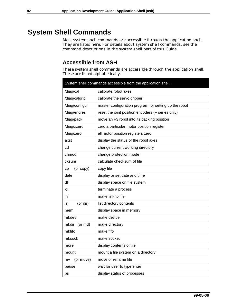# **System Shell Commands**

Most system shell commands are accessible through the application shell. They are listed here. For details about system shell commands, see the command descriptions in the system shell part of this *Guide*.

### **Accessible from ASH**

These system shell commands are accessible through the application shell. These are listed alphabetically.

| System shell commands accessible from the application shell. |                                                       |  |
|--------------------------------------------------------------|-------------------------------------------------------|--|
| /diag/cal                                                    | calibrate robot axes                                  |  |
| /diag/calgrip                                                | calibrate the servo gripper                           |  |
| /diag/configur                                               | master configuration program for setting up the robot |  |
| /diag/encres                                                 | reset the joint position encoders (F series only)     |  |
| /diag/pack                                                   | move an F3 robot into its packing position            |  |
| /diag/xzero                                                  | zero a particular motor position register             |  |
| /diag/zero                                                   | all motor position registers zero                     |  |
| axst                                                         | display the status of the robot axes                  |  |
| cd                                                           | change current working directory                      |  |
| chmod                                                        | change protection mode                                |  |
| cksum                                                        | calculate checksum of file                            |  |
| (or copy)<br>cp                                              | copy file                                             |  |
| date                                                         | display or set date and time                          |  |
| df                                                           | display space on file system                          |  |
| kill                                                         | terminate a process                                   |  |
| In.                                                          | make link to file                                     |  |
| (or dir)<br>ls                                               | list directory contents                               |  |
| mem                                                          | display space in memory                               |  |
| mkdev                                                        | make device                                           |  |
| (or md)<br>mkdir                                             | make directory                                        |  |
| mkfifo                                                       | make fifo                                             |  |
| mksock                                                       | make socket                                           |  |
| more                                                         | display contents of file                              |  |
| mount                                                        | mount a file system on a directory                    |  |
| (or move)<br>mv                                              | move or rename file                                   |  |
| pause                                                        | wait for user to type enter                           |  |
| ps                                                           | display status of processes                           |  |